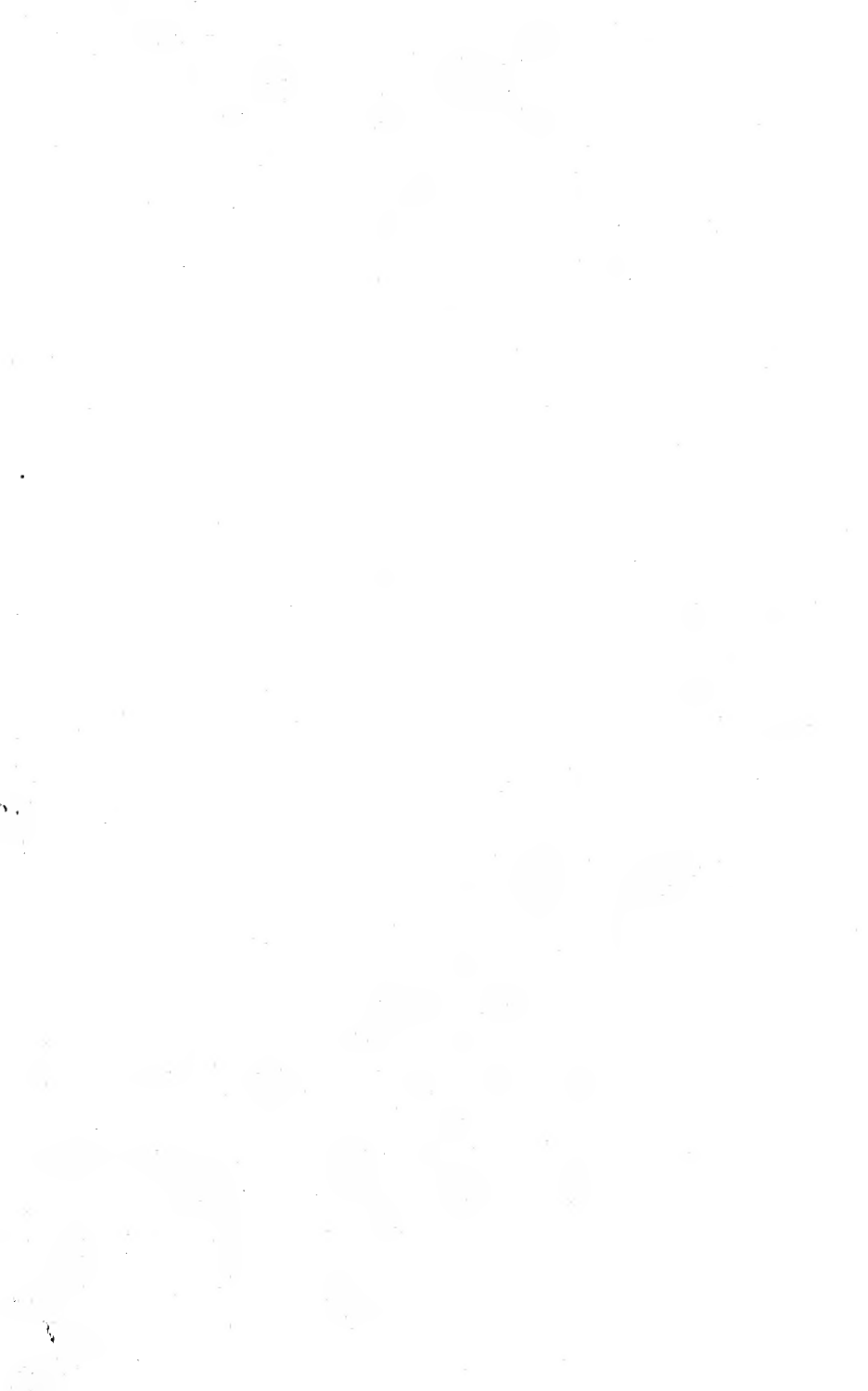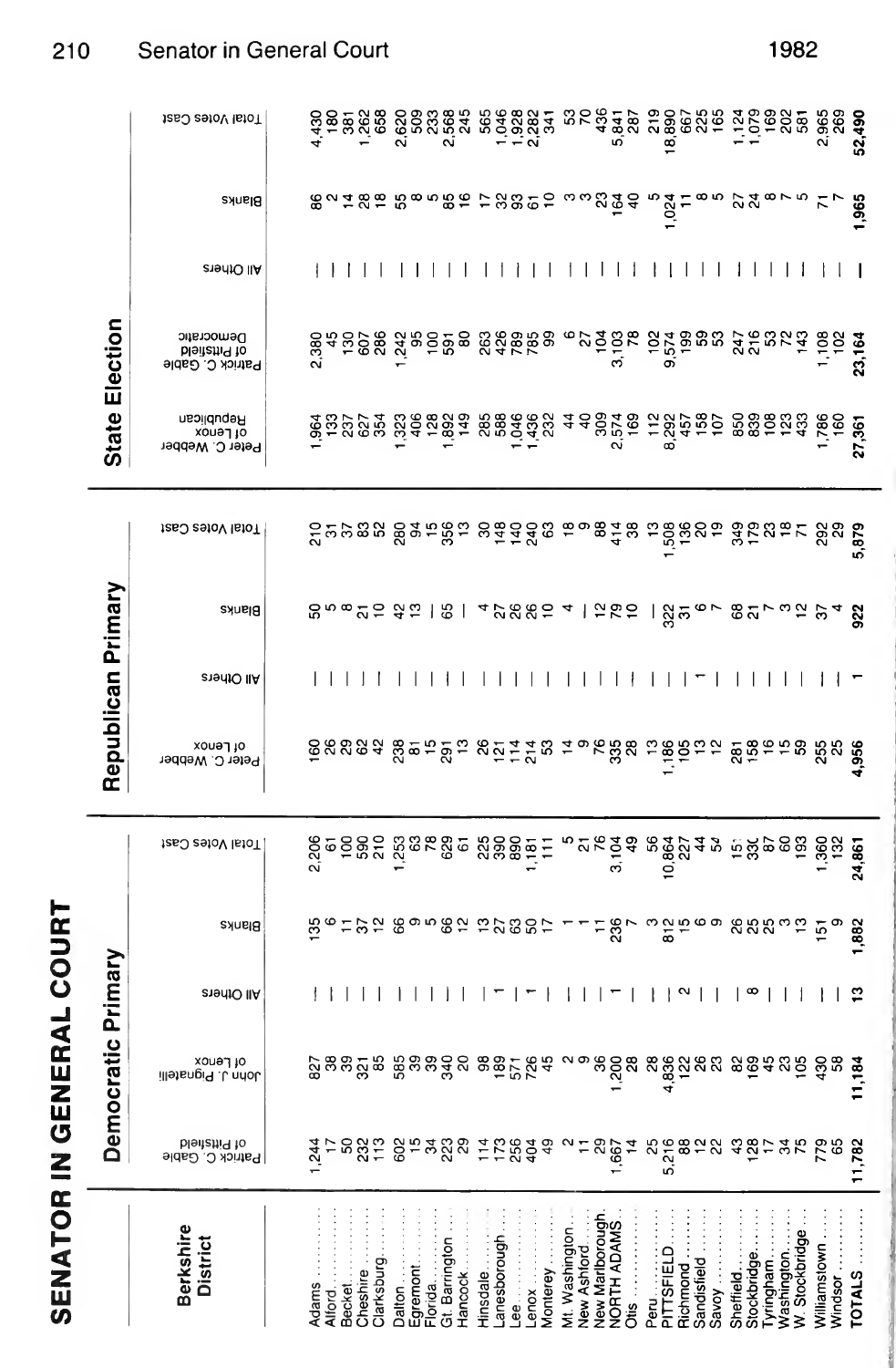## SENATOR IN GENERAL COURT

|                                      |                                                                                                                                                                                                                                                                                                                       | Democratic Primary                |                          |                 |                                                                                    | Republican Primary                       |            |              |                                                       |                                           | <b>State Election</b>                                                                                                                                                                                                                 |             |
|--------------------------------------|-----------------------------------------------------------------------------------------------------------------------------------------------------------------------------------------------------------------------------------------------------------------------------------------------------------------------|-----------------------------------|--------------------------|-----------------|------------------------------------------------------------------------------------|------------------------------------------|------------|--------------|-------------------------------------------------------|-------------------------------------------|---------------------------------------------------------------------------------------------------------------------------------------------------------------------------------------------------------------------------------------|-------------|
| Berkshire<br>District                | Patrick C. Gable                                                                                                                                                                                                                                                                                                      | of Lenox<br>John J. Pignatelli    | Pull Others              | Blanks          | Total Votes Cast                                                                   | of Lenox<br>Peter C. Webber              | All Others | Blanks       | Total Votes Cast                                      | Hepublican<br>of Lenox<br>Peter C. Webber | Patrick C. Gable<br>blaitafield<br>Democratic                                                                                                                                                                                         | eneritO IIA |
|                                      |                                                                                                                                                                                                                                                                                                                       |                                   |                          |                 |                                                                                    |                                          |            |              |                                                       |                                           |                                                                                                                                                                                                                                       |             |
| Adams                                |                                                                                                                                                                                                                                                                                                                       |                                   |                          |                 |                                                                                    |                                          |            |              |                                                       |                                           |                                                                                                                                                                                                                                       | ŧ           |
| Alford.                              |                                                                                                                                                                                                                                                                                                                       |                                   |                          |                 |                                                                                    |                                          |            |              |                                                       |                                           |                                                                                                                                                                                                                                       |             |
| Cheshire<br>Becket.                  |                                                                                                                                                                                                                                                                                                                       |                                   |                          |                 |                                                                                    |                                          |            |              |                                                       |                                           |                                                                                                                                                                                                                                       |             |
| Clarksburg                           | 누명없들 음부경없임 축동법육학                                                                                                                                                                                                                                                                                                      | ង្គនន្តដូន ឌួនន្ទខ្លួន នន្ទដ្ឋន្ត |                          | 计双记 哈乌马哈拉 付红的奶仔 | ខ្លួតទីនិដ្ឋ ដូន៩និច<br>ខ្លួ                                                       |                                          |            | 옮≌≌정을 앞을 [ 뚫 | 2 ួមខ្លួន ខ្លួន កម្លិត ខ្លួន ទី១៩ តូ តូន ភូមិន្ទន និង |                                           | ន្ត<br>ខ្លួ <sub>ង</sub> ទ្ល <b>ិន្ត</b>                                                                                                                                                                                              |             |
| Dalton                               |                                                                                                                                                                                                                                                                                                                       |                                   |                          |                 |                                                                                    |                                          |            |              |                                                       |                                           |                                                                                                                                                                                                                                       |             |
| Egremont                             |                                                                                                                                                                                                                                                                                                                       |                                   |                          |                 |                                                                                    |                                          |            |              |                                                       |                                           |                                                                                                                                                                                                                                       |             |
| 3t. Barrington<br>Florida            |                                                                                                                                                                                                                                                                                                                       |                                   |                          |                 |                                                                                    | $\frac{2}{3}$ តមត្តម $\frac{2}{3}$ មិន ដ |            |              |                                                       | ទំនូនទំ                                   | អ្នកទទួន ដូងនិងខ្លួ                                                                                                                                                                                                                   |             |
| tancock.                             |                                                                                                                                                                                                                                                                                                                       |                                   |                          |                 |                                                                                    |                                          |            |              |                                                       |                                           |                                                                                                                                                                                                                                       |             |
| -insdale                             |                                                                                                                                                                                                                                                                                                                       |                                   |                          |                 |                                                                                    |                                          |            |              |                                                       |                                           |                                                                                                                                                                                                                                       |             |
| anesborough                          |                                                                                                                                                                                                                                                                                                                       |                                   |                          |                 |                                                                                    |                                          |            |              |                                                       |                                           |                                                                                                                                                                                                                                       |             |
| ee<br>$enox$ .                       |                                                                                                                                                                                                                                                                                                                       |                                   |                          |                 | 888855                                                                             |                                          |            |              |                                                       |                                           |                                                                                                                                                                                                                                       |             |
| <b>Monterey</b>                      |                                                                                                                                                                                                                                                                                                                       |                                   |                          |                 |                                                                                    |                                          |            |              |                                                       | 888488<br>888488                          |                                                                                                                                                                                                                                       |             |
| Vit. Washington                      |                                                                                                                                                                                                                                                                                                                       |                                   |                          |                 |                                                                                    |                                          |            |              |                                                       |                                           |                                                                                                                                                                                                                                       |             |
| <b>Jew Ashford</b>                   |                                                                                                                                                                                                                                                                                                                       |                                   |                          |                 |                                                                                    |                                          |            |              |                                                       |                                           |                                                                                                                                                                                                                                       |             |
| lew Marlboroug<br><b>VARATH ADAM</b> |                                                                                                                                                                                                                                                                                                                       |                                   |                          |                 |                                                                                    |                                          |            |              |                                                       |                                           |                                                                                                                                                                                                                                       |             |
| ล็                                   |                                                                                                                                                                                                                                                                                                                       |                                   |                          | 두웠~ ~益꾼ㅎㅎ       |                                                                                    | 마은 끓여 꾸 풀 물 꾸 걷                          |            |              |                                                       |                                           | <b>ូ</b> ក្នុង ក្នុង ក្នុង ក្នុង ក្នុង ក្នុង ក្នុង ក្នុង ក្នុង ក្នុង ក្នុង ក្នុង ក្នុង ក្នុង ក្នុង ក្នុង ក្នុង ក្នុង<br>ក្នុង ក្នុង ក្នុង ក្នុង ក្នុង ក្នុង ក្នុង ក្នុង ក្នុង ក្នុង ក្នុង ក្នុង ក្នុង ក្នុង ក្នុង ក្នុង ក្នុង ក្នុង ក |             |
| nec<br>Se                            |                                                                                                                                                                                                                                                                                                                       |                                   |                          |                 |                                                                                    |                                          |            |              |                                                       |                                           |                                                                                                                                                                                                                                       |             |
| PITTSFIELD                           |                                                                                                                                                                                                                                                                                                                       |                                   |                          |                 |                                                                                    |                                          |            |              |                                                       |                                           |                                                                                                                                                                                                                                       |             |
| Sandisfield<br>Richmond              |                                                                                                                                                                                                                                                                                                                       |                                   |                          |                 |                                                                                    |                                          |            |              |                                                       |                                           |                                                                                                                                                                                                                                       |             |
| Savoy.                               |                                                                                                                                                                                                                                                                                                                       |                                   | $ $ $ $ $\alpha$ $ $ $ $ |                 |                                                                                    |                                          |            |              |                                                       |                                           |                                                                                                                                                                                                                                       |             |
| Sheffield                            |                                                                                                                                                                                                                                                                                                                       |                                   | $\mathbf{I}$             |                 |                                                                                    |                                          |            |              |                                                       |                                           |                                                                                                                                                                                                                                       |             |
| Stockbridge.                         |                                                                                                                                                                                                                                                                                                                       |                                   | $\infty$                 |                 |                                                                                    |                                          |            |              |                                                       |                                           |                                                                                                                                                                                                                                       |             |
| ringham.                             |                                                                                                                                                                                                                                                                                                                       |                                   | -1                       |                 |                                                                                    |                                          |            |              |                                                       |                                           |                                                                                                                                                                                                                                       |             |
| W. Stockbridge<br>Washington         | $\alpha = 8.65$ $\frac{1}{2}$ $\frac{1}{2}$ $\frac{1}{2}$ $\frac{1}{2}$ $\frac{1}{2}$ $\frac{1}{2}$ $\frac{1}{2}$ $\frac{1}{2}$ $\frac{1}{2}$ $\frac{1}{2}$ $\frac{1}{2}$ $\frac{1}{2}$ $\frac{1}{2}$ $\frac{1}{2}$ $\frac{1}{2}$ $\frac{1}{2}$ $\frac{1}{2}$ $\frac{1}{2}$ $\frac{1}{2}$ $\frac{1}{2}$ $\frac{1}{2}$ |                                   |                          | 888ಌ            | ្គ ស្ត្រី និង ក្នុង ក្នុង ក្នុង ក្នុង<br>ស្រុក ក្នុង ក្នុង ក្នុង ក្នុង ក្នុង ក្នុង | គ្គ<br>គួន គួន គួន គួន<br>តួ             |            |              | es<br>Subset and Subset                               | 33232323252882523<br>332325252588252      | <u>중</u> 은 없으로                                                                                                                                                                                                                        |             |
| Williamstown                         |                                                                                                                                                                                                                                                                                                                       |                                   |                          | $\overline{5}$  |                                                                                    |                                          |            |              |                                                       |                                           | 1,108                                                                                                                                                                                                                                 |             |
| Windsor.                             |                                                                                                                                                                                                                                                                                                                       |                                   |                          |                 |                                                                                    |                                          |            |              |                                                       | 1,786<br>160                              | $\frac{2}{2}$                                                                                                                                                                                                                         |             |
| <b>TOTALS</b>                        | 11,782                                                                                                                                                                                                                                                                                                                |                                   | ≌                        | 1,882           | 24,861                                                                             |                                          |            |              |                                                       | 27,361                                    | 23,164                                                                                                                                                                                                                                |             |

Total Votes Cast

Blanks

,965

මග ಸහි සහ සහ සහ සහ සහ සහ සහ සහ සහ සහ සහ සහ ස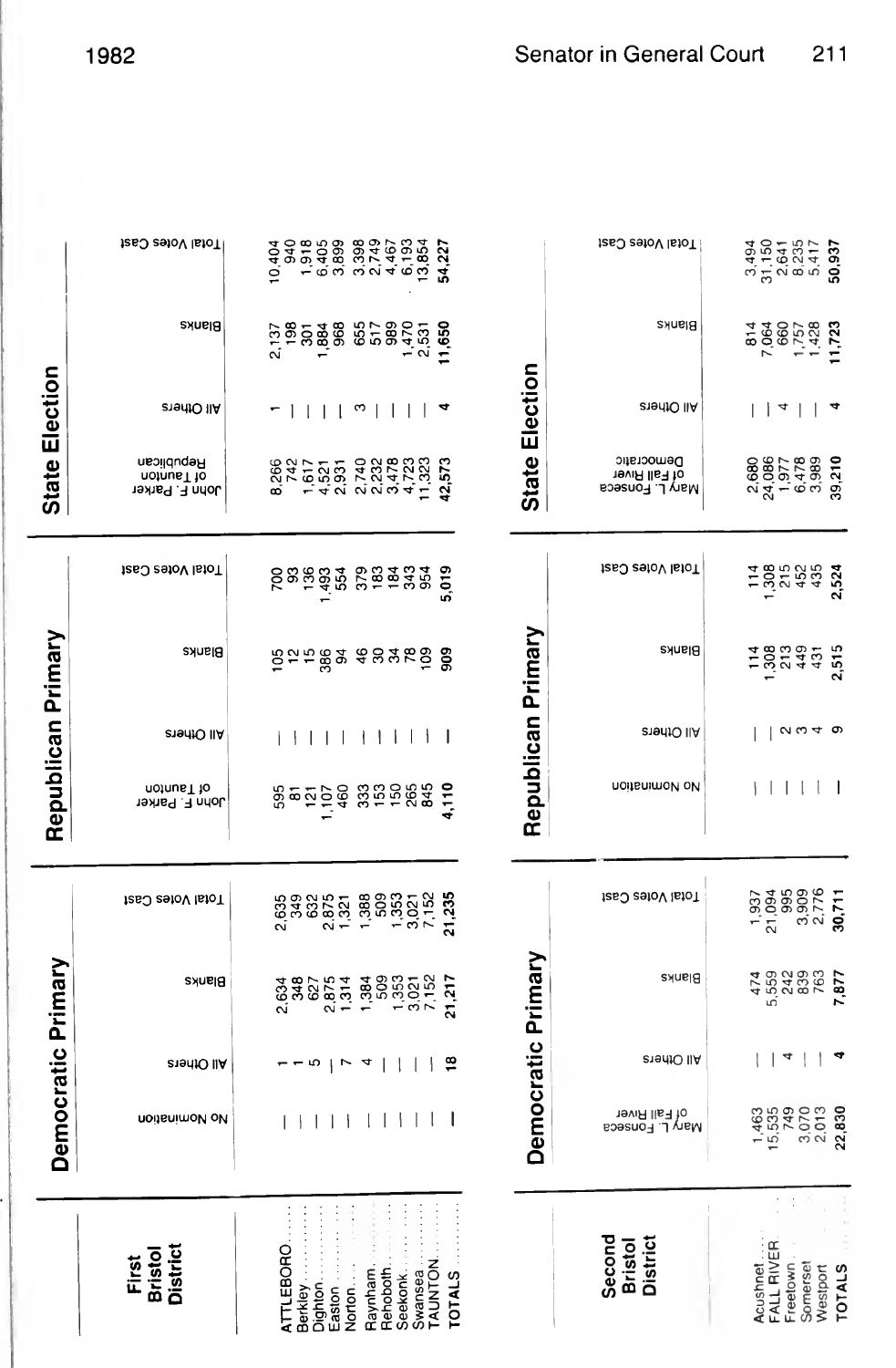|                                                                                                                                         | Democratic Primary                                 |                                                                   |                                                |                                                                                                                                                                          |                                            |                        | Republican Primary   |                             | State Election                                 |                                                                                   |                                                                 |                                                                                         |
|-----------------------------------------------------------------------------------------------------------------------------------------|----------------------------------------------------|-------------------------------------------------------------------|------------------------------------------------|--------------------------------------------------------------------------------------------------------------------------------------------------------------------------|--------------------------------------------|------------------------|----------------------|-----------------------------|------------------------------------------------|-----------------------------------------------------------------------------------|-----------------------------------------------------------------|-----------------------------------------------------------------------------------------|
| First<br>Bristol<br>District                                                                                                            | noitsnimoM oM                                      | Pil Others                                                        | Blanks                                         | Total Votes Cast                                                                                                                                                         | John F. Parker                             | Pull Others            | Blanks               | Total Votes Cast            | he Parican<br>of Tauton<br>neoilduqeR          | enertiO IIA                                                                       | Blanks                                                          | Total Votes Cast                                                                        |
| ATTLEBORO<br><b>TAUNTON</b><br>Seekonk.<br>Berkley<br>Dighton<br>Norton.<br>Raynham.<br>Swansea<br>Rehoboth<br>Easton.<br><b>TOTALS</b> | - 1<br>1111<br>111                                 | ≌<br>$\vert \sim$ 4<br>ιΩ<br>$\mathbf{I}$<br>$\overline{1}$<br>I. |                                                | 21,235                                                                                                                                                                   | 4,110<br><u>និទ្ធបក្ខទី និ</u> ក្ខក្ខខ្លួន | $\overline{1}$<br>111  | ដ៏គតនឹង ఉម្រុង៩ទី ទី | ខ្លួនទីទី និងទីនឹង<br>5,019 |                                                | $\frac{1}{2}$<br>₹<br>$\mathbf{I}$<br>$\mathsf I$<br>$\mathbf{I}$<br>$\mathbf{I}$ | ្ត<br>ភូមិ និង ខ្លួ<br>1,650                                    | 3,398<br>2,749<br>4,467<br>6,193<br>13,854<br>9898<br>95488<br>0.98<br>10,404<br>54,227 |
|                                                                                                                                         |                                                    |                                                                   | Democratic Primary                             |                                                                                                                                                                          |                                            |                        | Republican Primary   |                             | State Election                                 |                                                                                   |                                                                 |                                                                                         |
| Second<br>Bristol<br>District                                                                                                           | of Fall River<br>Mary L. Fonseca                   | eneritO IIA                                                       | Blanks                                         | Total Votes Cast                                                                                                                                                         | noitsnimol/ ol/                            | Pill Others            | Blanks               | Total Votes Cast            | Democratic<br>of Fall River<br>Mary L. Fonseca | Pull Others                                                                       | Blanks                                                          | Total Votes Cast                                                                        |
| t<br>FALL RIVER<br>Acushnet<br>Freetown<br>Somerset<br>Westport<br><b>TOTALS</b>                                                        | 1,463<br>15,535<br>749<br>3,070<br>2,013<br>22,830 | 4                                                                 | $\frac{474}{5,590}$<br>5.939<br>5.939<br>7.877 | $\frac{1}{2}$<br>$\frac{3}{2}$<br>$\frac{995}{2}$<br>$\frac{3}{2}$<br>$\frac{3}{2}$<br>$\frac{3}{2}$<br>$\frac{3}{2}$<br>$\frac{3}{2}$<br>$\frac{3}{2}$<br>$\frac{3}{2}$ | $\mathbf{I}$<br>ı<br>-1                    | $\alpha \varpi \varpi$ | 18242<br>2,515       | 185353                      | 0886<br>08857789<br>237789<br>237899           | 4<br>$\mathbf{1}$<br>$\begin{array}{c} \hline \end{array}$                        | $7,060$ $7,060$ $7,060$ $7,020$ $7,020$ $7,020$ $7,020$ $7,020$ | 3494<br>350417<br>350417<br>35085<br>50,937                                             |

39238896835

Total Votes Cast

read estoV latoT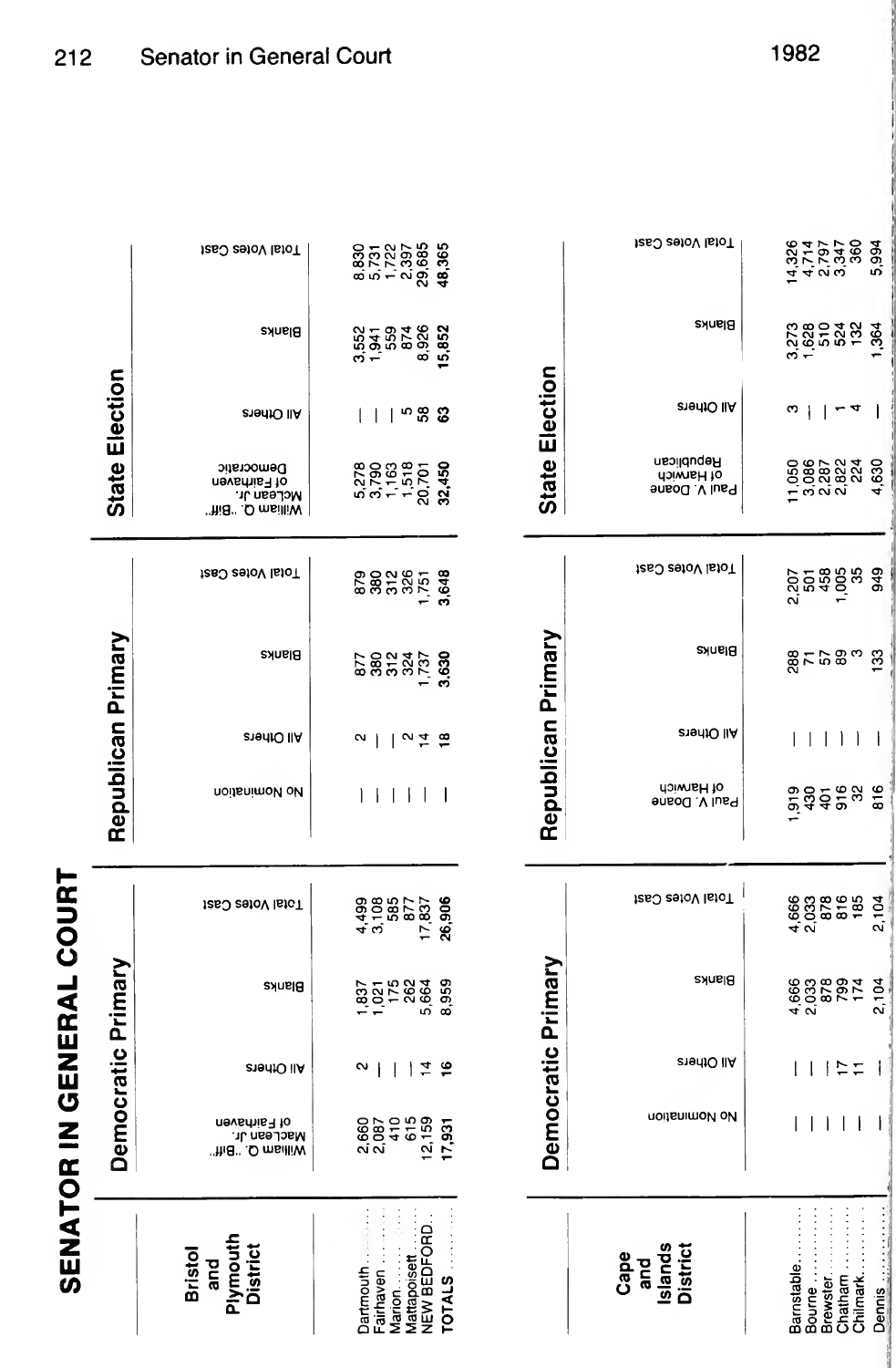| SENATOR IN GENERAL COURT                                                                  |                                                |            |                                       |                                                     |                 |                                 |                               |                                 |                                                              |                                                     |                                         |                                 |
|-------------------------------------------------------------------------------------------|------------------------------------------------|------------|---------------------------------------|-----------------------------------------------------|-----------------|---------------------------------|-------------------------------|---------------------------------|--------------------------------------------------------------|-----------------------------------------------------|-----------------------------------------|---------------------------------|
|                                                                                           |                                                |            | Democratic Primary                    |                                                     |                 |                                 | Republican Primary            |                                 | <b>State Election</b>                                        |                                                     |                                         |                                 |
| and<br>Plymouth<br>District<br><b>Bristol</b>                                             | of Fairhaven<br>MacLean Jr.<br>"tha". O msiliW | Pilomers   | <b>Blanks</b>                         | Total Votes Cast                                    | noitsnimol/ ol/ | All Others                      | <b>Blanks</b>                 | Total Votes Cast                | Democratic<br>of Fairhaven<br>Democratic<br>"flia". O msiliW | P. U. Priers                                        | Blanks                                  | Total Votes Cast                |
| <b>VEW BEDFORD</b><br>Mattapoisett<br>Fairhaven.<br>Dartmouth.<br>Marion<br><b>TOTALS</b> |                                                | 1179<br>N  | 8,959<br><u>ន្ធិ</u><br>ខ្ញុំដឹងខ្ញុំ | 4,499<br>3,108<br>585<br>17,837<br>17,837<br>26,906 | <b>11111</b>    | Ν<br>$\sqrt{a} \pm \frac{a}{2}$ | <b>88335.83</b><br>28585.83   | 3,648<br>ទី១៩ ១៩<br>កំពុង ១     |                                                              | ⊥∾೫ ಔ<br>$\overline{1}$<br>$\mathbf{I}$             | 15,852                                  | 8352588<br>8572588<br>857268    |
|                                                                                           |                                                |            | Democratic Primary                    |                                                     |                 |                                 | Republican Primary            |                                 | State Election                                               |                                                     |                                         |                                 |
| and<br>Islands<br>District<br>Cape                                                        | No Nomination                                  | All Others | Blanks                                | Total Votes Cast                                    | Paul V. Doane   | Pil Others                      | Blanks                        | Total Votes Cast                | Republican<br>of Hamich<br>Animation                         | Pill Others                                         | <b>Blanks</b>                           | Total Votes Cast                |
| Barnstable.<br>Bourne<br>Brewster<br>Chilmark.<br>Chatham<br>Dennis                       | ı<br>$\perp$                                   | 十六二<br>ı   | 2,104                                 | 488858<br>4885<br>2,104                             | ទីទំនំង ឌ       | 1                               | <b>ಜ</b> ದ್ದಾ<br>$\mathbf{3}$ | ខ្លួនិងខ្លួ <sub>ង</sub><br>949 |                                                              | ₹<br>ო<br>$\mathbf{r}$<br>$\mathfrak{f}$<br>$\perp$ | ភ្លុឌ ទី ខ្លួន<br>ប៉ុន្តែ ខ្លួន<br>.364 | 87538<br>87538<br>1100<br>5,994 |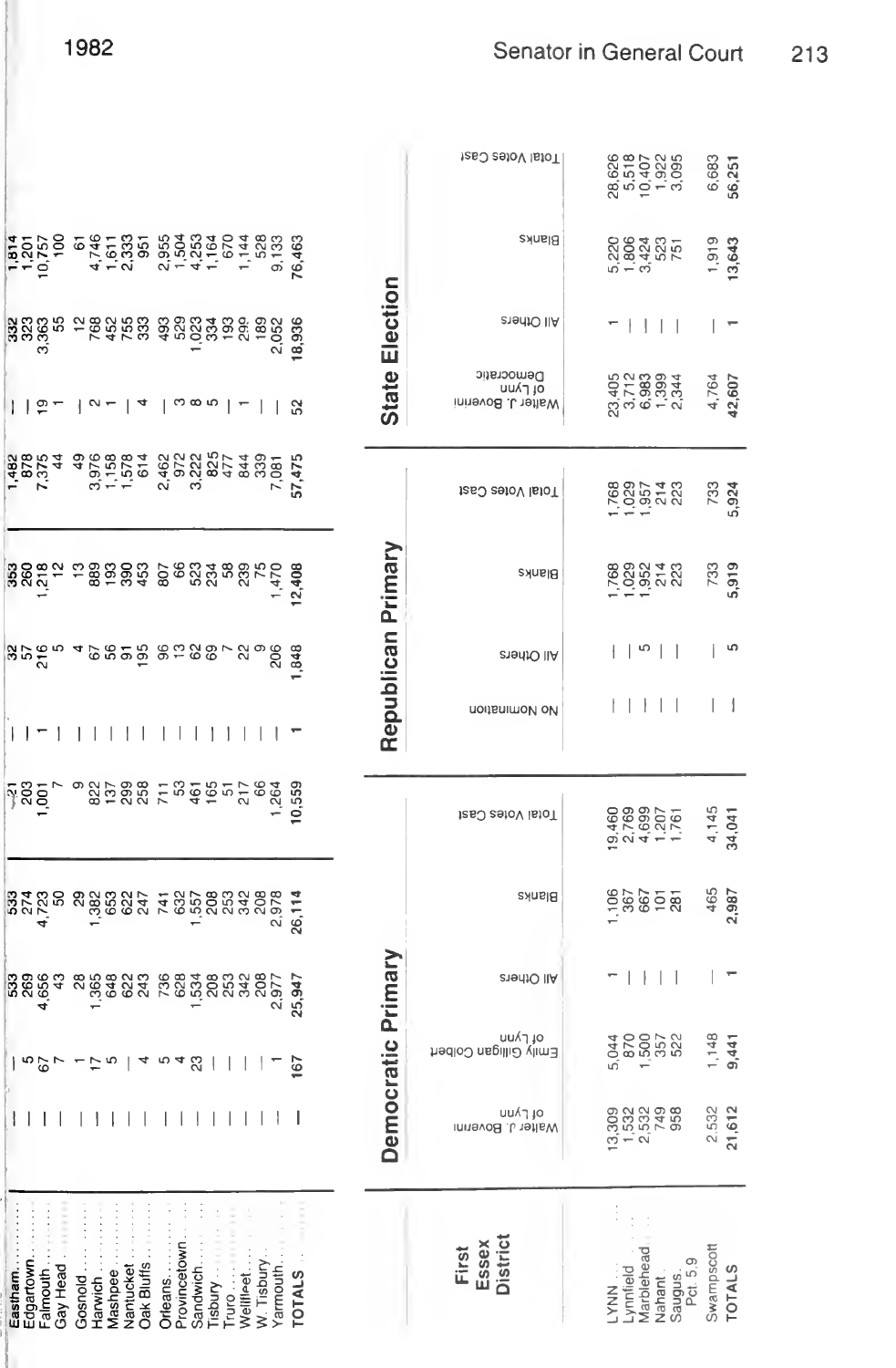|                                                                                                                                                                                                                                                                                                                                                                     |                    | Total Votes Cast                            | 6,683<br>56,251<br>28,626<br>5,518<br>5,922<br>5,095<br>3,095                                         |
|---------------------------------------------------------------------------------------------------------------------------------------------------------------------------------------------------------------------------------------------------------------------------------------------------------------------------------------------------------------------|--------------------|---------------------------------------------|-------------------------------------------------------------------------------------------------------|
| $\frac{1}{2}$ $\frac{1}{2}$ $\frac{1}{2}$ $\frac{1}{2}$ $\frac{1}{2}$ $\frac{1}{2}$ $\frac{1}{2}$ $\frac{1}{2}$ $\frac{1}{2}$ $\frac{1}{2}$ $\frac{1}{2}$ $\frac{1}{2}$ $\frac{1}{2}$ $\frac{1}{2}$ $\frac{1}{2}$ $\frac{1}{2}$ $\frac{1}{2}$ $\frac{1}{2}$ $\frac{1}{2}$ $\frac{1}{2}$ $\frac{1}{2}$ $\frac{1}{2}$ $\frac{1}{2}$ $\frac{1}{2}$ $\frac{1$<br>76,463 |                    | Blanks                                      | $1.919$<br>13,643<br>ស្តីខ្ញុំ<br>ស្តីខ្ញុំ អូ អូ ក<br>មាន មាន                                        |
| 18,936<br>ឌ្លួនខ្លួ <sub>ង</sub><br>ដូនខ្លួ                                                                                                                                                                                                                                                                                                                         |                    | eteritO IIA                                 | ı<br>$\perp$                                                                                          |
| ု က ထ ဟ<br>$\sim$ $-$<br>4<br><u>  은도</u><br>। ය                                                                                                                                                                                                                                                                                                                    | State Election     | Democratic<br>of Lynn<br>Walter J. Boverini | $23.712$<br>$3.712$<br>$6.999$<br>$-0.34$<br>$-0.34$<br>4,764<br>42,607                               |
| 1.825<br>1.826<br>1.854<br>$\frac{a}{2}$                                                                                                                                                                                                                                                                                                                            |                    | Total Votes Cast                            | 768<br>029574<br>119578<br>733<br>5.924                                                               |
| 2,408                                                                                                                                                                                                                                                                                                                                                               | Republican Primary | <b>Blanks</b>                               | $733$<br>5.919                                                                                        |
| $\mathbb{R}$ , $\mathbb{S}^{\infty}$ , $\mathbb{S}^{\infty}$ , $\mathbb{S}^{\infty}$ , $\mathbb{S}^{\infty}$ , $\mathbb{S}^{\infty}$ , $\mathbb{S}^{\infty}$<br>,848                                                                                                                                                                                                |                    | enentO IIA                                  | $\lfloor \cdot \circ \cdot \rfloor$                                                                   |
| $ $ $ $ $  $<br>$\perp$                                                                                                                                                                                                                                                                                                                                             |                    | No Nomination                               | - 1<br>$\mathbf{1}$                                                                                   |
| 85885225<br><u>រុខ្លត</u> ្ត~<br>0,559<br>1,264                                                                                                                                                                                                                                                                                                                     |                    | Total Votes Cast                            | 4,145<br>34,041                                                                                       |
| 16,114                                                                                                                                                                                                                                                                                                                                                              |                    | <b>Blanks</b>                               | 1967<br>1987<br>1989<br>465<br>2,987                                                                  |
| <b>និ</b> ង<br>និងស្ថិត អង្គធំនឹង<br>និង<br>$78838834807$<br>$-2883839807$<br>25,947                                                                                                                                                                                                                                                                                |                    | enentO IIA                                  | $\perp$<br>- 1                                                                                        |
| $1.55 - 1.50$<br>$ 404\% $<br>$\perp$<br>67                                                                                                                                                                                                                                                                                                                         |                    | of Lynn<br>Emily Gilligan Colbert           | 1920<br>1920<br>1922<br>$1.148$<br>9.441                                                              |
|                                                                                                                                                                                                                                                                                                                                                                     | Democratic Primary | uu í 7 jo<br>Walter J. Boverini             | 2.532<br>21,612                                                                                       |
| Provincetown<br>Orleans<br>Edgartown<br>W. Tisbury<br>Nantucket<br>Oak Bluffs<br>Gay Head<br>Falmouth.<br>Harwich<br>Sandwich<br>Tisbury<br>Yarmouth<br>Eastham.<br>Mashpee<br><b>TOTALS</b><br>Wellfleet<br>Gosnold<br>Truro                                                                                                                                       |                    | First<br>Essex<br>District                  | Swampscott<br>Marblehead<br>Pct. 5.9<br><b>TOTALS</b><br>Lynnfield<br>Saugus<br>Nahant<br><b>NNAT</b> |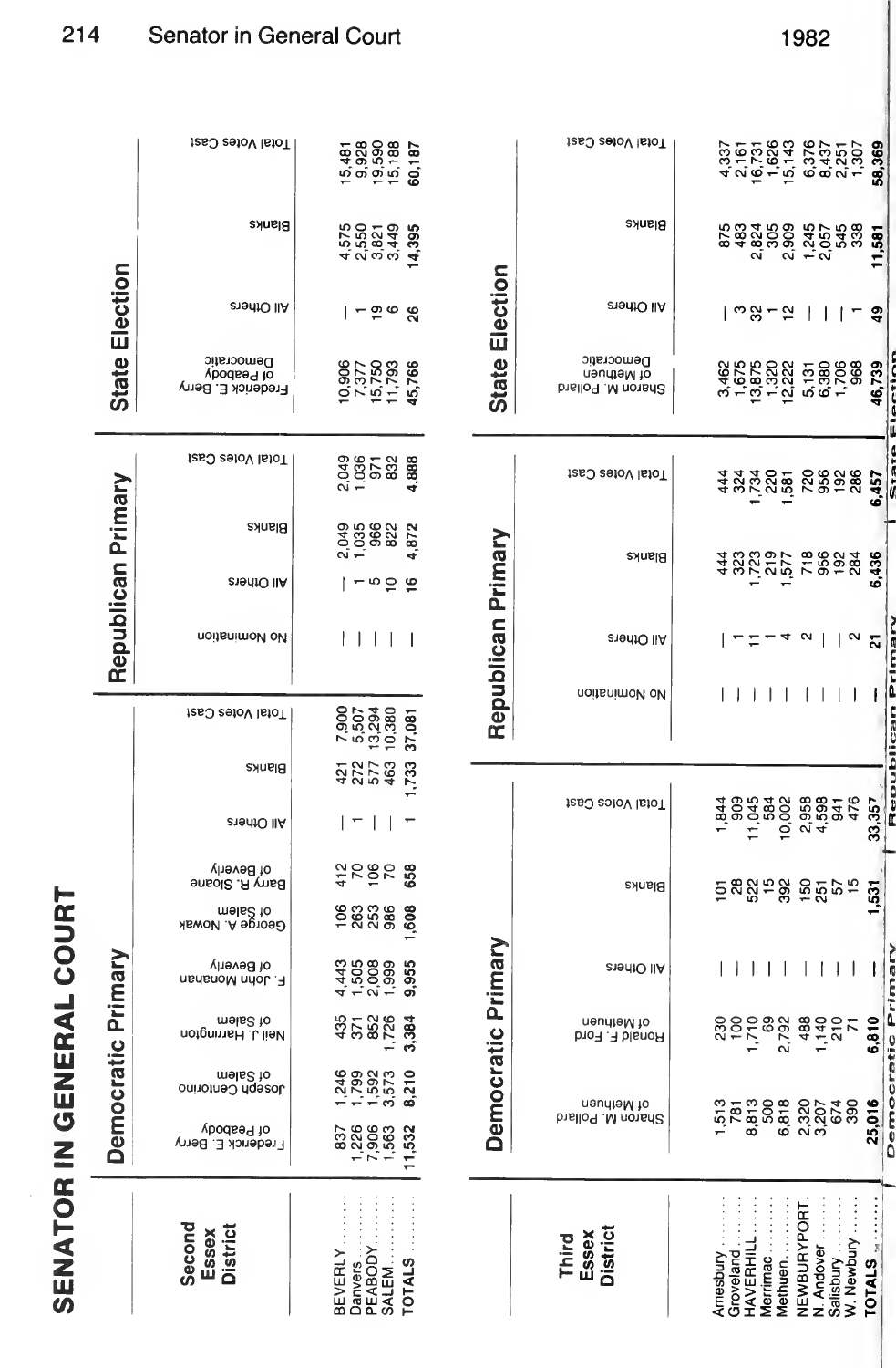| SENATOR IN GENERAL COURT                                         |                                                          |                                   |                                |                                                         |                          |                               |                                 |                           |                                             |                        |             |                            |                             |                                                             |             |                                                         |                                                                                                       |  |
|------------------------------------------------------------------|----------------------------------------------------------|-----------------------------------|--------------------------------|---------------------------------------------------------|--------------------------|-------------------------------|---------------------------------|---------------------------|---------------------------------------------|------------------------|-------------|----------------------------|-----------------------------|-------------------------------------------------------------|-------------|---------------------------------------------------------|-------------------------------------------------------------------------------------------------------|--|
|                                                                  | Democratic Primary                                       |                                   |                                |                                                         |                          |                               |                                 |                           |                                             |                        |             | Republican Primary         |                             | State Election                                              |             |                                                         |                                                                                                       |  |
| Second<br>Essex<br>District                                      | of Peabody<br>Frederick E. Berry                         | oninotne<br>malac to              | notgninnsH .L lieM<br>melaC to | of Beverly<br>F. John Monahan                           | Salem<br>George A. Nowak | of Beverly<br>Barry R. Sloane | eteritO IIA                     | <b>Blanks</b>             | Total Votes Cast                            | noitsnimol/ ol/        | e19rtiO IIA | Blanks                     | Total Votes Cast            | Democratic<br>Peabody<br>Peabody<br>Prederick E. Berry      | enertrO IIA | <b>Blanks</b>                                           | Total Votes Cast                                                                                      |  |
| PEABODY<br>Danvers.<br>SALEM.<br><b>BEVERLY</b><br><b>TOTALS</b> | 33888<br>11,532                                          | 179825<br>179825<br>1798<br>8,210 | $3588$<br>$1.786$<br>3,384     | $4,5089$<br>$7,5089$<br>$7,5089$<br>$7,5089$<br>$9,555$ | <b>1888</b><br>,608      | ភ្នំ<br>ភ្នំភ្នំងន្ល          | $\mathbf{I}$                    | ,733<br>$\frac{272}{272}$ | 7,500<br>5,507<br>5,294<br>10,380<br>37,081 | H<br>$\mathbf{I}$<br>1 | $-69e$      | 35<br>3582<br>3583<br>352  | 388<br>2005<br>2008<br>2008 | 10.906<br>7.557<br>45,758<br>45,766                         | စ္ ဖ ရွ     | ភ្នំ<br>ភ្នំភ្នំ<br>ភ្នំភ្នំភ្នំ<br>14,395              | 15,488<br>9,928<br>19,188<br>15,188<br>50,187                                                         |  |
|                                                                  |                                                          |                                   |                                | Democratic Primary                                      |                          |                               |                                 |                           |                                             | Republican Primary     |             |                            |                             | State Election                                              |             |                                                         |                                                                                                       |  |
| Third<br>Essex<br>District                                       | of Methuen<br>bisllo <sup>q</sup> . M noisn <sup>2</sup> |                                   | of Methuen<br>Ronald F. Ford   | enertiO IIA                                             |                          | Blanks                        | Total Votes Cast                |                           | noitsnimol/ ol/                             | eteritO llA            |             | Blanks                     | Total Votes Cast            | Democratic<br>bisilo <sup>q</sup> . M notish?<br>neutlaM to | eteritO IIA | Blanks                                                  | Total Votes Cast                                                                                      |  |
| Amesbury<br>Groveland                                            |                                                          |                                   |                                | 1                                                       |                          |                               |                                 |                           |                                             |                        |             |                            |                             |                                                             |             |                                                         |                                                                                                       |  |
| Merrimac<br>HAVERHILL                                            | 1513<br>081808<br>1513<br>08                             |                                   | sang ang anggo                 | 1111                                                    |                          | ក្នុងអូង ទី៥១៦                | 1844<br>908<br>10.002<br>10.002 |                           |                                             |                        |             | <u> វិដ្ឋដំបូង និងទីឌួ</u> | ទ្ធិដីមួយ ខ្លួនទីឌួ         | 3462<br>058280<br>070202                                    | ♡ 않 ㅜ 안     | និងទី១១ ភូមិដូង<br>ខ្លួន ខេត្ត ដូច្នេង<br>ខ្លួន ដូច្នេង | ង់ ក្នុង ក្នុង ក្នុង ក្នុង ក្នុង<br>ប្រឹក្ខុមី ក្នុង ក្នុង ក្នុង<br>ប្រឹក្ខុង ក្នុង ក្នុង ក្នុង ក្នុង |  |
| Methuen                                                          |                                                          |                                   |                                |                                                         |                          |                               |                                 |                           |                                             | 4                      |             |                            |                             |                                                             |             |                                                         |                                                                                                       |  |
| VEWBURYPORT<br>N. Andover.                                       |                                                          |                                   |                                | $\perp$                                                 |                          |                               |                                 |                           | ı                                           | $\sim$                 |             |                            |                             |                                                             |             |                                                         |                                                                                                       |  |
| Salisbury<br>W. Newbury                                          | ន្ត្រី<br>ស្ថិត្តិ<br>ស្ថិត                              |                                   |                                | $\perp$                                                 |                          |                               | 2.585<br>4.594<br>2.595         |                           |                                             | $\sim$<br>ł            |             |                            |                             | គ្នា ខ្លួន<br>ភូមិ ភូមិ<br>ភូមិ –                           | $\perp$     |                                                         |                                                                                                       |  |
| <b>TOTALS</b>                                                    | 25,016                                                   |                                   | 6,810                          | ı                                                       | 531                      |                               | 33,357                          |                           | ł                                           | ਜ਼                     | 6,436       |                            | 6,457                       | 46,739                                                      | \$          | 1,581                                                   | 58,369                                                                                                |  |
|                                                                  | Democ                                                    |                                   | ratic Pr                       | mary                                                    |                          |                               | Re                              |                           | ٥                                           |                        |             |                            |                             |                                                             |             |                                                         |                                                                                                       |  |

Senator in General Court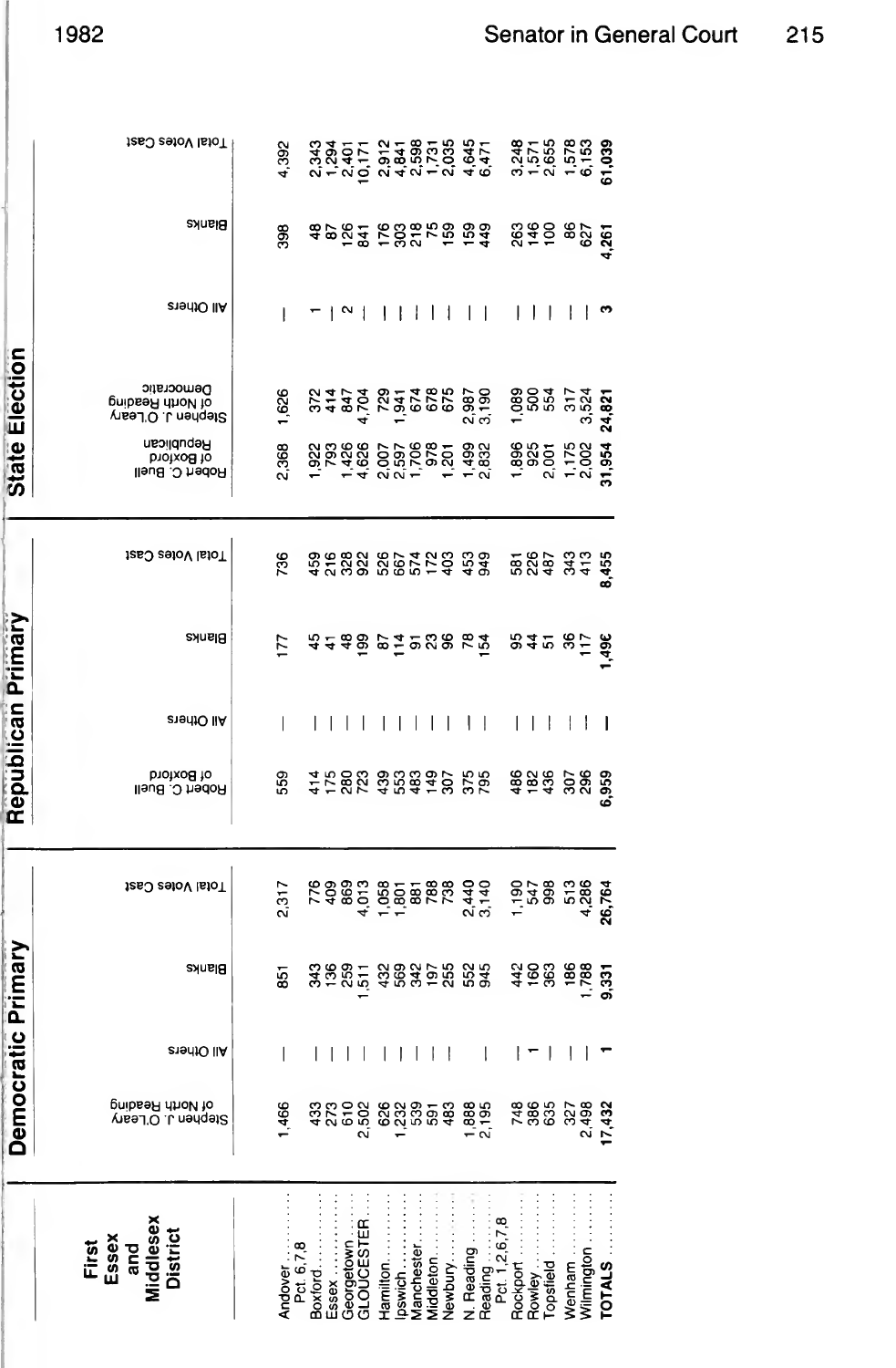|                                                |                                                       |              | Democratic Primary   |                                                                                                                               |                               |                 | Republican Primary |                        |                                            | State Election                 |              |                       |                  |  |
|------------------------------------------------|-------------------------------------------------------|--------------|----------------------|-------------------------------------------------------------------------------------------------------------------------------|-------------------------------|-----------------|--------------------|------------------------|--------------------------------------------|--------------------------------|--------------|-----------------------|------------------|--|
| First<br>Essex<br>and<br>Middlesex<br>District | pribash nhoi to<br>Stephen J. O'Leary                 | Pill Others  | Blanks               | 1250 zeloV lstoT                                                                                                              | of Boxford<br>Robert C. Buell | PillOthers      | Blanks             | Total Votes Cast       | Republican<br>of Boxford<br>Republican     | Democratic<br>veel'O L nengel2 | enertiO IIA  | Blanks                | Total Votes Cast |  |
|                                                |                                                       |              |                      |                                                                                                                               |                               |                 |                    |                        |                                            |                                |              |                       |                  |  |
| œ<br>Pct. 6,7<br>ndover                        | 466                                                   | $\mathsf{l}$ | 55                   | 2,317                                                                                                                         | 559                           | $\mathsf{I}$    | 177                | 736                    | 2,368                                      | 1,626                          | I            | 398                   | 4,392            |  |
|                                                |                                                       | I            |                      |                                                                                                                               |                               | I               |                    |                        |                                            |                                |              |                       |                  |  |
|                                                |                                                       |              |                      |                                                                                                                               |                               |                 |                    |                        |                                            |                                | ∣∾           |                       |                  |  |
| eorgetown                                      |                                                       | 111          |                      |                                                                                                                               |                               | $\perp$ $\perp$ |                    |                        |                                            |                                |              |                       |                  |  |
| <b>OUCESTE</b>                                 | ទី៥១១៩ ខែមី ខែមី ខែមី ខែ<br>ស្ថិត ខែមី ខែមី ខេត្ត ដូច |              | ទីទី៩១ និងទី៩៩ ខ្លួន | $778807$ $470807$ $470$ $470$ $470$ $470$ $470$ $470$ $470$ $470$ $470$ $470$ $470$ $470$ $470$ $470$ $470$ $470$ $470$ $470$ | #12822 \$\$\$\$\$\$\$ \$\$    |                 | 右位 由国 医耳里的 的复数     | ទីដឹងនី ដូច្និដូដូ កូន |                                            |                                | $\mathbf{1}$ | ទទងួន ក្នុងដូច ឆ្នង   |                  |  |
| amilton                                        |                                                       |              |                      |                                                                                                                               |                               |                 |                    |                        |                                            |                                | $\mathbf{I}$ |                       |                  |  |
| $s$ wich                                       |                                                       |              |                      |                                                                                                                               |                               |                 |                    |                        |                                            |                                | -1           |                       |                  |  |
| anchester                                      |                                                       | 11111        |                      |                                                                                                                               |                               | 1 1 1 1 1       |                    |                        |                                            |                                | -1           |                       |                  |  |
| iddleton.                                      |                                                       |              |                      |                                                                                                                               |                               |                 |                    |                        |                                            |                                | $\perp$      |                       |                  |  |
| lewbury                                        |                                                       |              |                      |                                                                                                                               |                               |                 |                    |                        |                                            |                                |              |                       |                  |  |
|                                                |                                                       |              |                      |                                                                                                                               |                               |                 |                    |                        |                                            |                                |              |                       |                  |  |
| N. Reading<br>Reading<br>Pct. 1,2,6,7,6        |                                                       | 1            |                      |                                                                                                                               |                               | $\mathsf{L}$    |                    |                        |                                            |                                | $\mathsf{L}$ |                       |                  |  |
|                                                |                                                       |              |                      |                                                                                                                               |                               |                 |                    |                        |                                            |                                |              |                       |                  |  |
| ockport                                        |                                                       |              |                      |                                                                                                                               | \$8\$                         |                 |                    |                        |                                            |                                | L            |                       |                  |  |
| Rowley                                         |                                                       |              |                      |                                                                                                                               |                               | 1 I I           |                    |                        |                                            |                                | $\perp$      |                       |                  |  |
| opsfield                                       | 788                                                   |              |                      |                                                                                                                               |                               |                 |                    |                        |                                            | 1,085<br>500<br>1554           |              |                       |                  |  |
| venham.                                        |                                                       |              |                      |                                                                                                                               |                               |                 | 21 오 2 2 2         | នីងូឌី ខ្លះ            |                                            |                                | ł            |                       |                  |  |
| Nilmington                                     |                                                       |              |                      |                                                                                                                               | $\frac{25}{296}$              | $\perp$         |                    |                        | $2885$<br>$250$<br>$-20$<br>$-20$<br>$-20$ |                                | J.           |                       |                  |  |
| <b>OTALS</b>                                   | 2.432<br>2.432<br>17.432                              |              | 488888               | $\frac{1}{1}$ , $\frac{54}{3}$ , $\frac{36}{3}$ , $\frac{36}{3}$ , $\frac{36}{3}$ , $\frac{36}{3}$                            | ,959                          | ı               | 36                 | ,455                   | 91,954                                     | $3,524$<br>$24,827$            |              | ន្លី ទី ខ្លួ នី ខ្ញុំ |                  |  |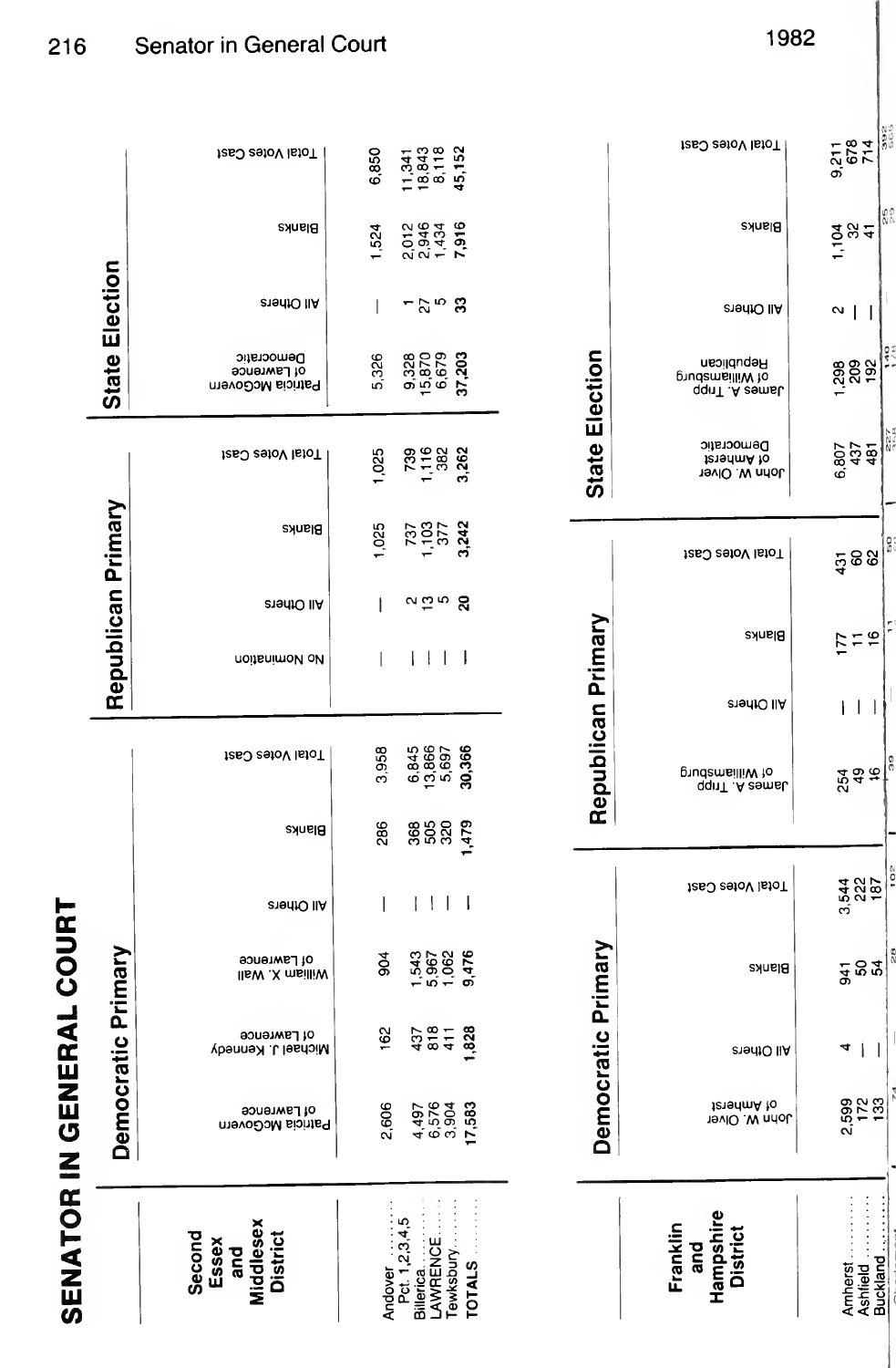|                       | Democratic Primary           |            |               |                  | Republican Primary                |            |                    |                  | State Election                           |                                  |              |                |                     |
|-----------------------|------------------------------|------------|---------------|------------------|-----------------------------------|------------|--------------------|------------------|------------------------------------------|----------------------------------|--------------|----------------|---------------------|
| Franklir<br>na<br>ana | teviO .W ndol.<br>tatedmA to | All Others | <b>Blanks</b> | Total Votes Cast | qqirT .A zemsL<br>grudamsilliW to | PII Others | <b>Blanks</b>      | Total Votes Cast | hewO. W ndot<br>Dof Amerst<br>Democratic | Republican<br>qu'T .A semsLuding | P. II Others | <b>Blanks</b>  | Total Votes Cast    |
| Amherst<br>shfield    | 2,599<br>172<br>133          | I          | ភ្នួន<br>ភូមិ | 3,542<br>3,812   | 398<br>298                        | ۱<br>I     |                    | ភ្នួនន           | 6.487<br>6.487<br>6.487                  | ត្តខ្លួង<br>តូ                   | $\sim$<br>I  | .<br>그 31<br>그 | 9,211<br>678<br>714 |
| ucklan                |                              | I          | 28            | ro?              | 8                                 | I          | ŗ<br>$\frac{6}{5}$ | g:               | 227                                      | ă                                | I            | es.            | ¦5ă                 |

| Blanks<br>.524<br>$\frac{883}{0.077}$ 5.<br><b>State Election</b><br>All Others<br>ా సాం ఇ<br>I<br>Democratic<br>5,326<br>9,328<br>15,879<br>9,679<br>9,203<br>Of Lawrence<br>Patricia McGovern<br>Total Votes Cast<br>025<br>Republican Primary<br>Blanks<br>025<br>∾ຕຼທ<br>Pull Others<br>ı<br>I<br>$\overline{\phantom{a}}$<br>I<br>I<br>noitsnimol/ ol/<br>I<br>3,958<br>Total Votes Cast<br>6,845<br>13,866<br>5,697<br>286<br>ន្លីខ្លីខ្ល<br>Blanks<br>$\overline{1}$<br>I<br>$\overline{\phantom{a}}$<br>I<br>All Others<br>Democratic Primary<br>$\frac{4}{3}$<br>of Lawrence<br>llsW .X msilliW<br>162<br>of Lawrence<br>Michael J. Kennedy<br>of Lawrence<br>2,606<br>Patricia McGovern<br>Andover<br>Pct. 1,2,3,4,5<br>Middlese <sup>y</sup><br>listrict<br>Second<br>Essex<br>and<br>Billerica<br>LAWRENCE<br>Tewksbury |               |                            |            |                     |   |     |        |   |                            |                       |  |                                              |
|-------------------------------------------------------------------------------------------------------------------------------------------------------------------------------------------------------------------------------------------------------------------------------------------------------------------------------------------------------------------------------------------------------------------------------------------------------------------------------------------------------------------------------------------------------------------------------------------------------------------------------------------------------------------------------------------------------------------------------------------------------------------------------------------------------------------------------------|---------------|----------------------------|------------|---------------------|---|-----|--------|---|----------------------------|-----------------------|--|----------------------------------------------|
|                                                                                                                                                                                                                                                                                                                                                                                                                                                                                                                                                                                                                                                                                                                                                                                                                                     |               |                            |            |                     |   |     |        |   |                            |                       |  |                                              |
|                                                                                                                                                                                                                                                                                                                                                                                                                                                                                                                                                                                                                                                                                                                                                                                                                                     |               |                            |            |                     |   |     |        |   |                            |                       |  |                                              |
|                                                                                                                                                                                                                                                                                                                                                                                                                                                                                                                                                                                                                                                                                                                                                                                                                                     | <b>TOTALS</b> | 4.578<br>4.578<br>4.6.9.19 | $378 + 82$ | $\frac{4362}{5000}$ | I | 479 | 30,366 | ຂ | <b>852<br/>2852</b><br>287 | <b>BEBRE</b><br>PEBRE |  | 11,343<br>18,843<br>8,118<br>45,152<br>6,850 |

SENATOR IN GENERAL COURT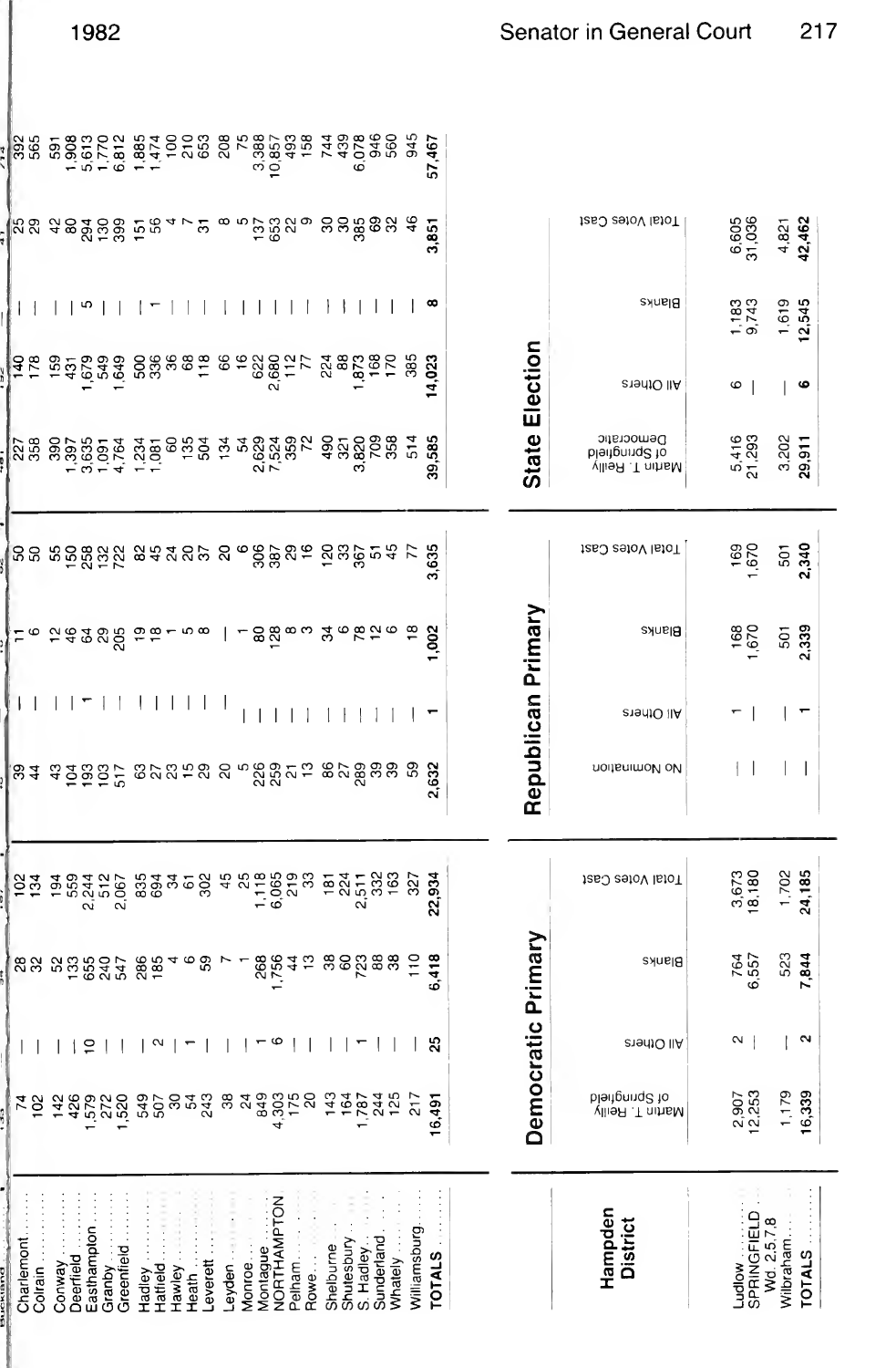|                       |                                                                           |                         |                   |                                                                                                                                                                                                                                      | 2,340                     | 2,339              |              |                                              | 24,185                           |                     |                      | 16,339                        | <b>TOTALS</b>                |
|-----------------------|---------------------------------------------------------------------------|-------------------------|-------------------|--------------------------------------------------------------------------------------------------------------------------------------------------------------------------------------------------------------------------------------|---------------------------|--------------------|--------------|----------------------------------------------|----------------------------------|---------------------|----------------------|-------------------------------|------------------------------|
|                       | 42,462<br>4,821                                                           | 1.619<br>12,545         | ဖ<br>$\mathbf{L}$ | $3,202$<br>29,911                                                                                                                                                                                                                    | 501                       | 501                |              | - 1<br>Ш                                     | 1,702                            | 523<br>7.844        | $\sim$<br>t          | 1,179                         | Vilbraham                    |
|                       |                                                                           |                         |                   |                                                                                                                                                                                                                                      |                           |                    |              |                                              |                                  |                     |                      |                               | Wd. 2.5.7.8                  |
|                       | 6,605<br>31,036                                                           | $\frac{1,183}{9,743}$   | 6                 | 5,416<br>21.293                                                                                                                                                                                                                      | <b>981</b>                | $\frac{65}{670}$   |              | $\perp$                                      | 3,673<br>18,180                  | 764<br>6.557        | 2                    | 2,907<br>12,253               | Ludlow<br>SPRINGFIELD        |
|                       |                                                                           |                         |                   |                                                                                                                                                                                                                                      |                           |                    |              |                                              |                                  |                     |                      |                               |                              |
|                       |                                                                           | <b>Blanks</b>           | and Others        |                                                                                                                                                                                                                                      |                           | Blanks             | and Others   |                                              |                                  | Blanks              | All Others           |                               |                              |
|                       | Total Votes Cast                                                          |                         |                   | Martin T. Reilly<br>pringfield<br>Democratic                                                                                                                                                                                         | Total Votes Cast          |                    |              | noitenimol/ ol/                              | Total Votes Cast                 |                     |                      | vllieR .T nihaM<br>Nangnog to | Hampden<br>District          |
|                       |                                                                           |                         |                   |                                                                                                                                                                                                                                      |                           |                    |              |                                              |                                  |                     |                      |                               |                              |
|                       |                                                                           |                         | State Election    |                                                                                                                                                                                                                                      |                           | Republican Primary |              |                                              |                                  | Democratic Primary  |                      |                               |                              |
|                       |                                                                           |                         |                   |                                                                                                                                                                                                                                      |                           |                    |              |                                              |                                  |                     |                      |                               |                              |
| 57,467                | 3,851                                                                     |                         | 14,023            | 39,585                                                                                                                                                                                                                               | 3,635                     | 002                |              | 2,632                                        | 22,934                           | 6,418               | 25                   | 16,491                        | <b>FOTALS</b>                |
| 945                   |                                                                           |                         |                   | 54                                                                                                                                                                                                                                   |                           |                    |              |                                              | 327                              | $\frac{1}{2}$       | $\mathbb{L}$         | 217                           | Williamsburg.                |
|                       |                                                                           |                         |                   |                                                                                                                                                                                                                                      |                           |                    | T<br>-1      |                                              |                                  |                     |                      | 244<br>125                    | Mhately<br>Sunderland.       |
|                       |                                                                           |                         |                   |                                                                                                                                                                                                                                      |                           |                    | $\mathbf{+}$ |                                              |                                  |                     |                      | 787                           | S. Hadley                    |
|                       | ននន្លួនន ទ                                                                | $+ + + + +$             |                   |                                                                                                                                                                                                                                      |                           |                    | I.           |                                              | <b>គ្នុង</b> ភ្លង់<br>គូនីភូនីឌី | នទន្ថនន             | $11 - 11$            | 143<br>164                    | Shutesbury<br>Shelburne      |
|                       |                                                                           |                         |                   |                                                                                                                                                                                                                                      |                           |                    |              |                                              |                                  | ာ                   | $\perp$              |                               | Rowe                         |
|                       |                                                                           |                         |                   |                                                                                                                                                                                                                                      |                           |                    |              |                                              |                                  | $\frac{4}{4}$       |                      |                               | <b>JORTHAMPTON</b><br>Pelham |
|                       | $\frac{8}{3}$ $\frac{10}{3}$ $\frac{10}{3}$ $\frac{10}{3}$ $\frac{10}{3}$ | 111111                  |                   | 1988 - 1989 - 1989 - 1989 - 1989 - 1989 - 1989 - 1989 - 1989 - 1980 - 1980 - 1980 - 1980 - 1980 - 1980 - 1980<br>1980 - 1980 - 1980 - 1980 - 1980 - 1980 - 1980 - 1980 - 1980 - 1980 - 1980 - 1980 - 1980 - 1980 - 1980 - 1980<br>19 | ។ ೪ನ ផ្គុនន ខ្មែរ ខ្ពុន្ត | - 日임 ㅎ ㅎ ㅎ ㅎ ㅎ ㅎ ㅎ | 11111        | ទទ្ទិន្នក្ដី និងនិងន ខ្លួងម៉ូន្ដីដូច និងនឹងន |                                  | 268                 | $ a  =  1  + \infty$ | ទីខ្លួនក្នុង និងទីខ្លីដទ      | dontague<br>vlonroe.         |
|                       |                                                                           |                         |                   |                                                                                                                                                                                                                                      |                           |                    |              |                                              |                                  |                     |                      |                               | eyden.                       |
|                       |                                                                           |                         |                   |                                                                                                                                                                                                                                      |                           | ഗയ                 |              |                                              |                                  |                     |                      |                               | teath<br>everett             |
|                       |                                                                           |                         |                   |                                                                                                                                                                                                                                      |                           |                    |              |                                              |                                  | 4 ဖ ဂ္ကိ            |                      |                               | Hawley.                      |
|                       | ងុឌ ទទង្គខ្លួន <u>ក្នុ</u> ង។ hគ                                          | $11^{\circ}$ $11^{+11}$ |                   |                                                                                                                                                                                                                                      | នន នទ្ធន្តអង្គ នទងនន ន    |                    | 1            |                                              |                                  | ឌួន ឧត្តន្ទ័ឌី ឌីឌូ |                      |                               | lattield<br>ladley           |
|                       |                                                                           |                         |                   |                                                                                                                                                                                                                                      |                           | ភូនិន្ទដ៏ ទិន      |              |                                              |                                  |                     |                      |                               | Greenfield                   |
|                       |                                                                           |                         |                   |                                                                                                                                                                                                                                      |                           |                    |              |                                              |                                  |                     |                      |                               | Granby.                      |
|                       |                                                                           |                         |                   |                                                                                                                                                                                                                                      |                           |                    | $ $   $\top$ |                                              |                                  |                     |                      | 45,250                        | casthampton<br>Deerfield     |
| 591<br>1,908<br>5,513 |                                                                           |                         | $\frac{159}{431}$ |                                                                                                                                                                                                                                      |                           |                    |              |                                              |                                  |                     |                      | 142                           | VewmoC                       |
| 395                   |                                                                           | l 1                     | $rac{40}{78}$     |                                                                                                                                                                                                                                      |                           |                    | $\mathbf{L}$ | 84                                           | $\frac{53}{134}$                 |                     | $\perp$              | $74$<br>102                   | Charlemont.<br>Colrain       |
|                       |                                                                           |                         |                   |                                                                                                                                                                                                                                      |                           |                    |              |                                              |                                  |                     |                      |                               |                              |

I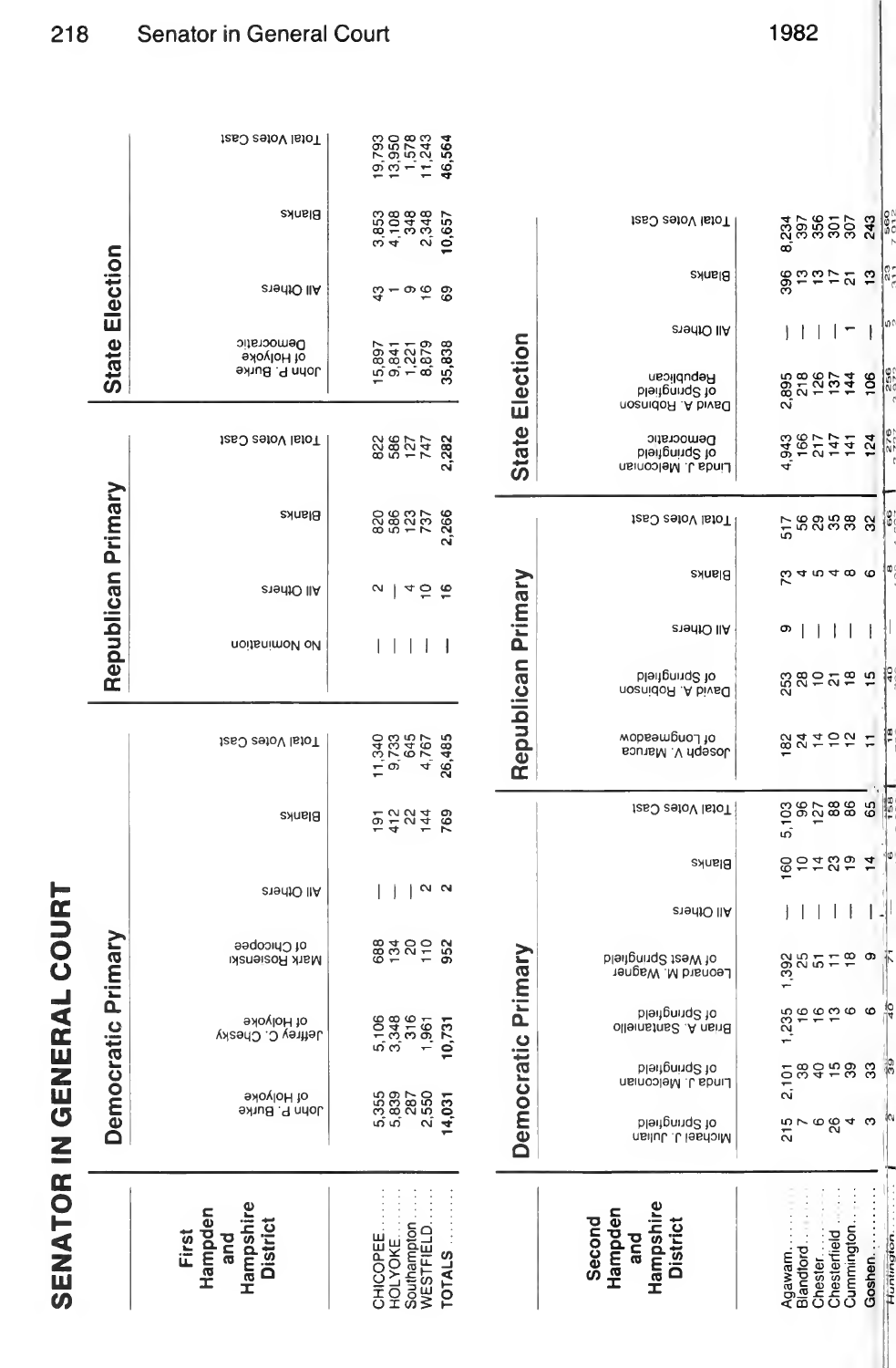| SENATOR IN GENERAL COURT                                                                 |                                           |                                      |                                        |                                          |                        |               |                           |                                             |                                    |                                  |                            |                    |                                        |                                            |                       |                    |                                |                                      |
|------------------------------------------------------------------------------------------|-------------------------------------------|--------------------------------------|----------------------------------------|------------------------------------------|------------------------|---------------|---------------------------|---------------------------------------------|------------------------------------|----------------------------------|----------------------------|--------------------|----------------------------------------|--------------------------------------------|-----------------------|--------------------|--------------------------------|--------------------------------------|
|                                                                                          |                                           |                                      |                                        | Democratic Primary                       |                        |               |                           |                                             |                                    | Republican Primary               |                            |                    |                                        |                                            | <b>State Election</b> |                    |                                |                                      |
| Hampshire<br>Hampden<br><b>District</b><br>First<br>and                                  |                                           | of Holyoke<br>John P. Burke          | Jeffrey C. Chesky<br>Jeffrey C. Chesky | Mark Rosienski                           | Pull Others            |               | <b>Blanks</b>             | Total Votes Cast                            |                                    | noitsnimoM oM                    | enertiO IIA                | Blanks             | Total Votes Cast                       | extue P. Burke<br>of Holyoke<br>Democratic |                       | and Others         | Blanks                         | Total Votes Cast                     |
| Southampton<br><b>WESTFIELD</b><br>CHICOPEE.<br>HOLYOKE.<br><b>TOTALS</b>                | 358<br>388<br>586<br>28<br>14,031         |                                      | 5,348<br>5,348<br>5,55<br>19,79        | 833228                                   | $\sim$<br>$\mathbf{I}$ |               | 효흥없弃<br>69                | 11,340<br>9,733<br>4,767<br>4,767<br>26,485 |                                    | $\perp$<br>$\overline{1}$<br>- 1 | $\sim$<br>$45\overline{6}$ | និឌីភូដ្រ<br>2,266 | 없엶 <u>다</u><br>없음 보도<br>2,282          | 35,838<br>001100<br>0010100<br>001010      |                       | - ၈ ဖွ<br>69<br>្ន | 38888<br>38588<br>34<br>10,657 | 19,793<br>13,952<br>11,243<br>46,564 |
|                                                                                          |                                           |                                      | Democratic Primary                     |                                          |                        |               |                           | Republican Primary                          |                                    |                                  |                            |                    |                                        | State Election                             |                       |                    |                                |                                      |
| Hampshire<br>Hampden<br>Second<br>District<br>and                                        | ol Springheld<br>Michael J. Julian        | pləripninq2 to<br>Linda J. Melconian | olleinstnaß. A nand                    | bleitgning? teeW to<br>Leonard M. Wagner | zierijO IIA            | <b>Blanks</b> | Total Votes Cast          | of Longmeadow<br>Joseph V. Maruca           | of Springheld<br>noznidoR .A bivsO | <b>PullOlla</b>                  | Blanks                     | Total Votes Cast   | Democratic<br>Linda J. Melconian       | Republican<br>noznidoR .A bivsd            | enertiO IIA           | <b>Blanks</b>      | Total Votes Cast               |                                      |
| Cummington.<br>Blandford.<br>Agawam<br>Chesterfield<br>Chester<br>Goshen<br>the color of | $\frac{15}{2}$ $\sim$ $\frac{15}{2}$<br>ా | ក្នុង<br>ភូមិ<br>ភូមិ                | ە جەن<br>$\circ$                       | ដូចដ<br>392                              |                        | <b>Botabe</b> | ប្អូន និង<br>ក្នុង និង និ | 없겠고 모양 표                                    | ິສສິລ <i>ັ</i> ສ ສ                 | თ<br>1111                        | <b>846486</b>              | ្អូននួននួន         | 343<br>166<br>217<br>147<br>141<br>124 | 2885274<br>$\frac{8}{2}$                   |                       | geeta e            | ភ្លឺនិងខ្លួន អ្ន               |                                      |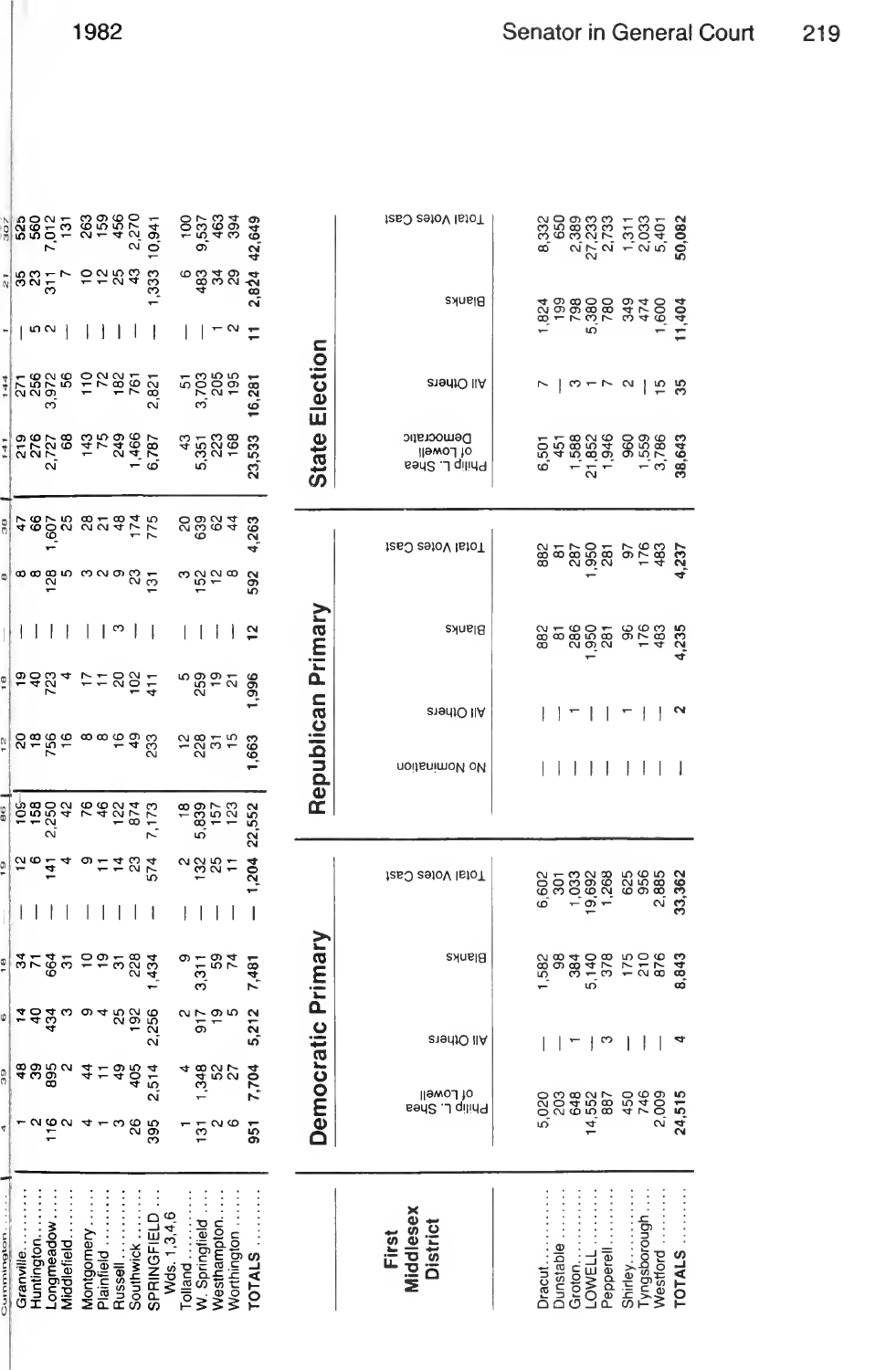|            |           |                              |             |            |            |         | $\begin{matrix} \frac{1}{2} & \frac{1}{2} & \frac{1}{2} & \frac{1}{2} & \frac{1}{2} & \frac{1}{2} & \frac{1}{2} & \frac{1}{2} & \frac{1}{2} & \frac{1}{2} & \frac{1}{2} & \frac{1}{2} & \frac{1}{2} & \frac{1}{2} & \frac{1}{2} & \frac{1}{2} & \frac{1}{2} & \frac{1}{2} & \frac{1}{2} & \frac{1}{2} & \frac{1}{2} & \frac{1}{2} & \frac{1}{2} & \frac{1}{2} & \frac{1}{2} & \frac{1}{2} & \frac{1}{2}$                                                                                                        |              |         |                            |                            | 00<br>00533<br>0053<br>0053<br>0042                                                                                                                                                                                                                                                                                 |                    | Total Votes Cast                          |               |                                  |                     |                                |           |         |                          |                                                                              |
|------------|-----------|------------------------------|-------------|------------|------------|---------|-----------------------------------------------------------------------------------------------------------------------------------------------------------------------------------------------------------------------------------------------------------------------------------------------------------------------------------------------------------------------------------------------------------------------------------------------------------------------------------------------------------------|--------------|---------|----------------------------|----------------------------|---------------------------------------------------------------------------------------------------------------------------------------------------------------------------------------------------------------------------------------------------------------------------------------------------------------------|--------------------|-------------------------------------------|---------------|----------------------------------|---------------------|--------------------------------|-----------|---------|--------------------------|------------------------------------------------------------------------------|
|            |           | $-1$   $\omega$ $\omega$     |             |            |            |         | $\frac{1}{2}$ $\frac{1}{2}$ $\frac{1}{2}$ $\frac{1}{2}$ $\frac{1}{2}$ $\frac{1}{2}$ $\frac{1}{2}$ $\frac{1}{2}$ $\frac{1}{2}$ $\frac{1}{2}$ $\frac{1}{2}$ $\frac{1}{2}$ $\frac{1}{2}$ $\frac{1}{2}$ $\frac{1}{2}$ $\frac{1}{2}$ $\frac{1}{2}$ $\frac{1}{2}$ $\frac{1}{2}$ $\frac{1}{2}$ $\frac{1}{2}$ $\frac{1}{2}$<br>$\begin{array}{c} \begin{array}{c} \textcolor{blue}{\textbf{1}} & \textcolor{blue}{\textbf{1}} & \textcolor{blue}{\textbf{1}} & \textcolor{blue}{\textbf{1}} \\ \end{array} \end{array}$ |              |         |                            |                            | ಿ ಥೆನೆನಿ ಕ್ಷ<br>ಇ<br>$11 - \alpha$ =                                                                                                                                                                                                                                                                                |                    | <b>Blanks</b>                             |               |                                  |                     |                                |           |         |                          |                                                                              |
|            |           |                              |             |            |            |         |                                                                                                                                                                                                                                                                                                                                                                                                                                                                                                                 |              |         |                            |                            | ភិក្តុខ្លាំង <b>និ</b><br>ក្នុង គឺ                                                                                                                                                                                                                                                                                  |                    | Pilomers                                  |               |                                  |                     |                                |           |         |                          | $\sim$ $\mid$ $\sim$ $\sim$ $\sim$ $\mid$ $\sim$ $\mid$ $\sim$ $\sim$ $\mid$ |
|            |           |                              |             |            |            |         | $\frac{27}{2120}$<br>$\frac{276}{2720}$<br>$\frac{276}{2720}$<br>$\frac{476}{2720}$<br>$\frac{476}{2720}$<br>$\frac{676}{2720}$                                                                                                                                                                                                                                                                                                                                                                                 |              |         |                            |                            | ទី ភូនី និង<br>ទី ភូនី និង<br>ទី                                                                                                                                                                                                                                                                                    | State Election     | Democratic<br>of Lowell<br>Philip L. Shea |               |                                  |                     |                                |           |         |                          |                                                                              |
|            |           |                              |             |            |            |         | $\frac{1}{\sqrt{2}}$ အဆစ္တြာ ကလတတ္လက္                                                                                                                                                                                                                                                                                                                                                                                                                                                                           |              |         |                            |                            | ာဗ္ကိ¤္က ဗ္တိ                                                                                                                                                                                                                                                                                                       |                    | Total Votes Cast                          |               |                                  |                     |                                |           |         |                          | ទី ខ្លួន ខ្លួន ខ្លួន និង<br>ទី ខ្លួន ទី ខ្លួន និង                            |
|            |           |                              |             |            |            |         |                                                                                                                                                                                                                                                                                                                                                                                                                                                                                                                 |              |         |                            |                            | $         $ $ $ $\frac{9}{2}$                                                                                                                                                                                                                                                                                       |                    |                                           | Blanks        |                                  |                     |                                |           |         |                          | ទី ខ្លួនខ្លួន ខ្លួន និង<br>និង                                               |
|            |           |                              |             |            |            |         |                                                                                                                                                                                                                                                                                                                                                                                                                                                                                                                 |              |         |                            |                            | $\frac{1}{2}$ $\frac{1}{2}$ $\frac{1}{2}$ $\frac{1}{2}$ $\frac{1}{2}$ $\frac{1}{2}$ $\frac{1}{2}$ $\frac{1}{2}$ $\frac{1}{2}$ $\frac{1}{2}$ $\frac{1}{2}$ $\frac{1}{2}$ $\frac{1}{2}$ $\frac{1}{2}$ $\frac{1}{2}$ $\frac{1}{2}$ $\frac{1}{2}$ $\frac{1}{2}$ $\frac{1}{2}$ $\frac{1}{2}$ $\frac{1}{2}$ $\frac{1}{2}$ |                    | P. Uthers                                 |               |                                  |                     |                                |           |         |                          |                                                                              |
|            |           |                              |             |            |            |         | $\frac{1}{\sqrt{2}}$ တ္တြင္ တိုက္တက္တက္တက္တက္တက္တက္တက္                                                                                                                                                                                                                                                                                                                                                                                                                                                          |              |         |                            |                            | $285 + 68$                                                                                                                                                                                                                                                                                                          | Republican Primary | noitsnimol/ ol/                           |               |                                  |                     |                                |           |         |                          |                                                                              |
|            |           |                              |             |            |            |         | 11 1 1 1 1 1 1 1                                                                                                                                                                                                                                                                                                                                                                                                                                                                                                |              |         |                            |                            | -<br>- 이 그 그 그 그 이 있었는 것<br>- 이 일을 이 있었는 것                                                                                                                                                                                                                                                                          |                    | Total Votes Cast                          |               |                                  |                     |                                |           |         |                          |                                                                              |
|            |           |                              |             |            |            |         | $\frac{1}{\sqrt{2}}$ and $\frac{1}{\sqrt{2}}$ and $\frac{1}{\sqrt{2}}$ and $\frac{1}{\sqrt{2}}$                                                                                                                                                                                                                                                                                                                                                                                                                 |              |         |                            |                            | $\frac{3}{5}$ $\frac{2}{5}$ $\frac{1}{5}$ $\frac{1}{5}$ $\frac{1}{5}$ $\frac{1}{5}$ $\frac{1}{5}$ $\frac{1}{5}$ $\frac{1}{5}$ $\frac{1}{5}$ $\frac{1}{5}$ $\frac{1}{5}$ $\frac{1}{5}$ $\frac{1}{5}$ $\frac{1}{5}$ $\frac{1}{5}$ $\frac{1}{5}$ $\frac{1}{5}$ $\frac{1}{5}$ $\frac{1}{5}$ $\frac{1}{5}$               | cratic Primary     |                                           | <b>Blanks</b> |                                  |                     |                                |           |         |                          | 1582<br>8838492<br>150212834                                                 |
|            |           |                              |             |            |            |         |                                                                                                                                                                                                                                                                                                                                                                                                                                                                                                                 |              |         |                            |                            | $\frac{2}{3}$ $\frac{1}{2}$ $\frac{5}{3}$ $\frac{2}{3}$ $\frac{1}{3}$ $\frac{2}{3}$ $\frac{2}{3}$ $\frac{2}{3}$ $\frac{2}{3}$ $\frac{2}{3}$ $\frac{2}{3}$ $\frac{2}{3}$ $\frac{2}{3}$ $\frac{2}{3}$ $\frac{2}{3}$ $\frac{2}{3}$ $\frac{2}{3}$ $\frac{2}{3}$ $\frac{2}{3}$ $\frac{2}{3}$ $\frac{2}{3}$ $\frac{2}{3}$ |                    | eteritO ilA                               |               |                                  |                     | $    -   \circ       \circ  $  |           |         |                          |                                                                              |
|            |           | $\frac{90}{5}$ $\frac{8}{5}$ |             | 4          |            | ო       | $\frac{1}{9}$ a 888 a $\pm$ 588 $\frac{10}{9}$<br>2.5<br>26<br>395                                                                                                                                                                                                                                                                                                                                                                                                                                              |              |         | ૈ<br>131                   |                            | 7935 Z<br>$\frac{5}{95}$                                                                                                                                                                                                                                                                                            | Demo               | of Lowell<br>Philip L. Shea               |               | 5,020                            |                     | 203<br>648<br>14,552<br>14,587 |           | 450     | 746<br>2,009             | 24,515                                                                       |
| uotBuruuno | Granville | Longmeadow<br>Huntington     | Middlefield | Montgomery | Plainfield | Russell | SPRINGFIELD<br>Southwick                                                                                                                                                                                                                                                                                                                                                                                                                                                                                        | Wds. 1,3,4,6 | Tolland | $\vdots$<br>W. Springfield | Westhampton<br>Worthington | TOTALS.                                                                                                                                                                                                                                                                                                             |                    | Middlesex<br><b>District</b><br>First     |               | $D$ racut $\ldots \ldots \ldots$ | Dunstable<br>Groton | LOWELL                         | Pepperell | Shirley | Tyngsborough<br>Westford | <b>TOTALS</b>                                                                |

B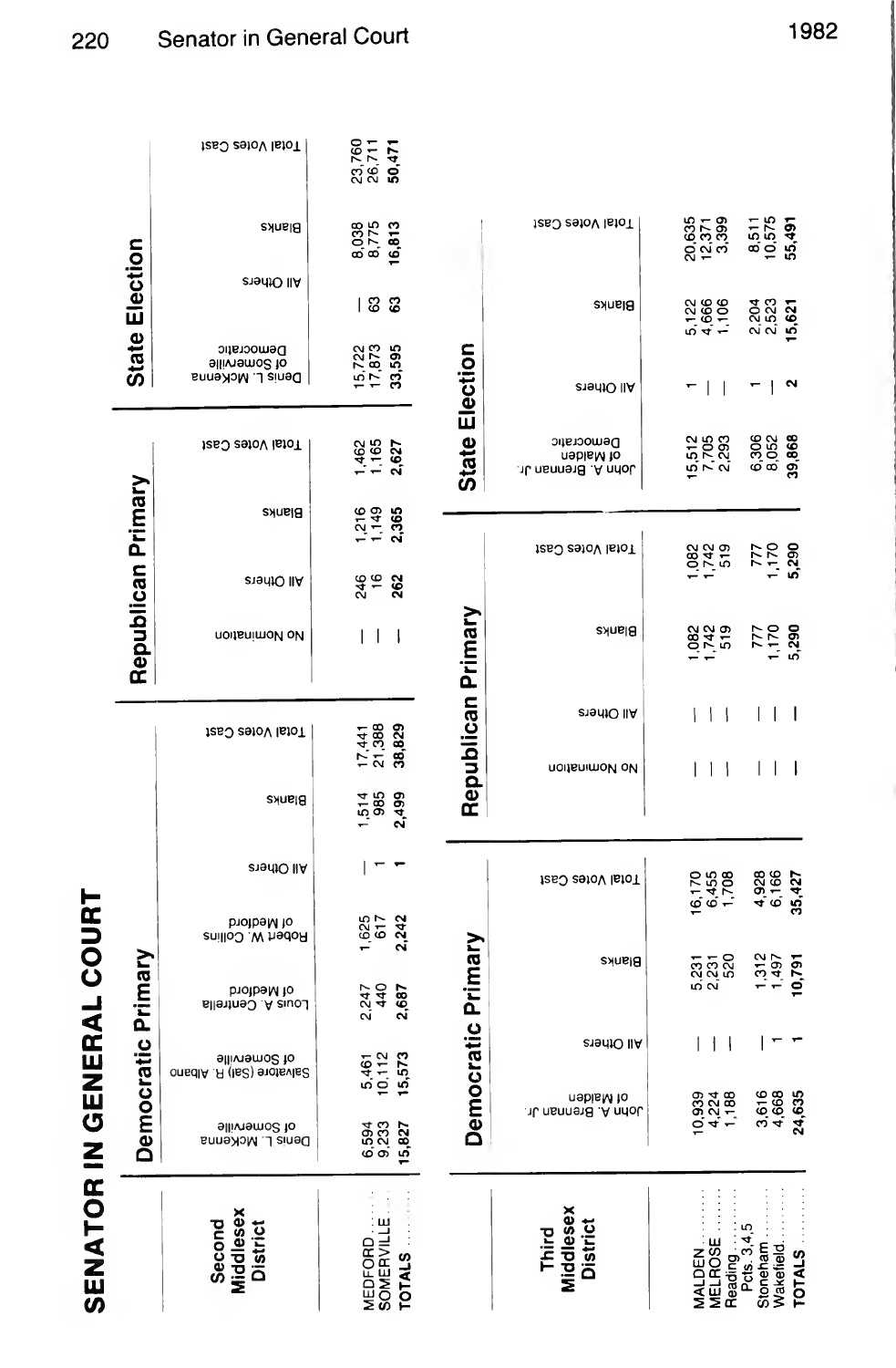| SENATOR IN GENERAL COURT        |                                   |                                                 |                                  |                        |                            |                       |                               |                               |                       |                    |                    |                                                                     |                                                 |                          |                           |  |
|---------------------------------|-----------------------------------|-------------------------------------------------|----------------------------------|------------------------|----------------------------|-----------------------|-------------------------------|-------------------------------|-----------------------|--------------------|--------------------|---------------------------------------------------------------------|-------------------------------------------------|--------------------------|---------------------------|--|
|                                 |                                   | Democratic Primary                              |                                  |                        |                            |                       |                               |                               |                       | Republican Primary |                    |                                                                     |                                                 | <b>State Election</b>    |                           |  |
| Second<br>Middlesex<br>District | of Somerville<br>Denis L. McKenna | of Somerville<br>Salvatore (Sal) R. Albano      | of Medford<br>Louis A. Centrella | Robert W. Collins      | enertiO IIA                | Blanks                | Total Votes Cast              |                               | noitsnimol/ol/        | Pull Others        | <b>Blanks</b>      | Total Votes Cast                                                    | Democratic<br>of Somerville<br>Denis L. McKenna | enemO IIA                | Blanks                    |  |
| MEDFORD<br><b>TOTALS</b>        | 6,594<br>9,233<br>15,827          | 0,112<br>15,573<br>5,461                        | $\frac{547}{440}$<br>2,687       | 1,625<br>2,242<br>2,   |                            | 1.514<br>285<br>2,499 | $\frac{17,441}{21,388}$       |                               | 1<br>I<br>ı           | 85<br>85<br>85     | 215<br>149<br>2365 | 1,462<br>1,165<br>2,627                                             | $\frac{15,722}{17,873}$<br>33,595               | ⊺ಙ ಙ                     | 8,038<br>8,775<br>16,813  |  |
|                                 |                                   | Democratic Primary                              |                                  |                        |                            |                       |                               | Republican Primary            |                       |                    |                    |                                                                     | State Election                                  |                          |                           |  |
| Third<br>Middlesex<br>District  |                                   | P.II Others<br>neblsM to<br>.1L nsnnend .A ndol |                                  | Blanks                 | Total Votes Cast           |                       | No Nomination                 | Pull Others                   | Blanks                | Total Votes Cast   |                    | the macratic for hander.<br>מden<br>penocratic dramad<br>pemocratic | Pilomers                                        | Blanks                   | Total Votes Cast          |  |
| MALDEN.                         |                                   |                                                 |                                  |                        |                            |                       | I                             |                               |                       |                    |                    |                                                                     |                                                 | 5,128<br>4,566<br>1,106  | 20,635<br>12,379<br>3,399 |  |
| MELROSE.                        | 0.934<br>4.224<br>1.188           | 1<br>- I                                        |                                  | ភ្លុំភ្លួន<br>ភ្លុំសូម | 16,170<br>6,455<br>1,708   |                       | $\vert \vert$                 | T<br>$\overline{\phantom{a}}$ | 1,742<br>1,742        | 8275<br>0275       |                    | 15,512<br>7,705<br>2,293                                            | I<br>1                                          |                          |                           |  |
| Reading<br>Pcts. 3,4,5          |                                   |                                                 |                                  |                        |                            |                       |                               |                               |                       |                    |                    |                                                                     |                                                 |                          |                           |  |
| Wakefield.<br>Stoneham          | 3,616<br>4,685<br>24,635          |                                                 |                                  | $\frac{1,312}{1,497}$  | $4,928$<br>6,166<br>35,427 |                       | L<br>$\overline{\phantom{a}}$ | I<br>L                        | 1770<br>07170<br>0825 | $\frac{29}{170}$   |                    | 6,306<br>8,052<br>99,868                                            |                                                 | 2,302<br>2,523<br>15,621 | 8,511<br>10,575<br>55,491 |  |
| <b>TOTALS</b>                   |                                   |                                                 |                                  |                        |                            |                       | $\overline{\phantom{a}}$      | 1                             |                       |                    |                    |                                                                     | $\sim$                                          |                          |                           |  |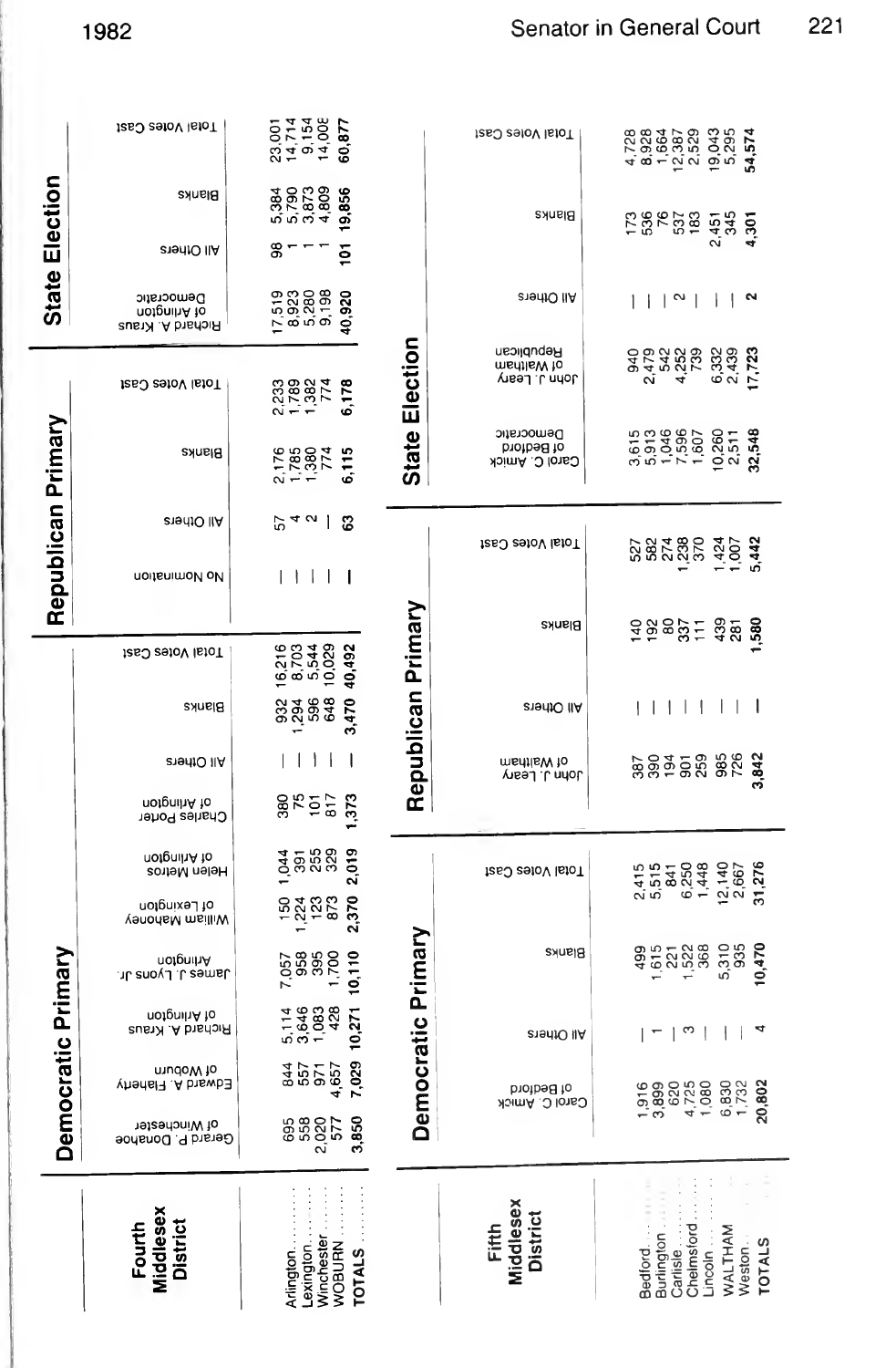|                    | Total Votes Cast                                     | 007<br>01458<br>0087                                                        |                    | Total Votes Cast                           | 1, 2022<br>1, 2022<br>1, 2022<br>1, 2022<br>1, 2022<br>1, 2022<br>1, 2022                                      |
|--------------------|------------------------------------------------------|-----------------------------------------------------------------------------|--------------------|--------------------------------------------|----------------------------------------------------------------------------------------------------------------|
| State Election     | Blanks<br>All Others                                 | ង្គី 5 5 6<br>ភូមិ 5 6<br>ភូមិ 4<br>19,856<br>3<br>5                        |                    | Blanks                                     | ក្នុងមួយ<br>2,451<br>345<br>$\overline{5}$                                                                     |
|                    | Democratic<br>notgnihA to<br><b>Richard A. Kraus</b> | 15388<br>15388<br>15867<br>40,920                                           |                    | e19rt0 IIA                                 | $ $ $ $ $\sim$ $ $<br>2<br>ı<br>$\mathbf{1}$                                                                   |
|                    | Total Votes Cast                                     | ខ្លួន ខ្ល <sub>ុំ</sub> ដ<br>ខ្លួន ខ្លួ<br>6,178                            | State Election     | Republican<br>veel .L ndol.<br>mentieW to  |                                                                                                                |
|                    | Blanks                                               | 21788<br>21788<br>5115                                                      |                    | Democratic<br>of Bedford<br>Carol C. Amick | 3.51386<br>5.396657554<br>5.59675548<br>5.548                                                                  |
| Republican Primary | All Others<br>noitenimoM oM                          | 240<br>3<br>1111<br>L                                                       |                    | Total Votes Cast                           | <b>2248224254254425</b>                                                                                        |
|                    | Total Votes Cast                                     |                                                                             |                    | <b>Blanks</b>                              | $439$<br>$281$<br>38                                                                                           |
|                    | <b>Blanks</b>                                        | 16218<br>8,703<br>9,544<br>10,029<br>40,492<br>470<br>33588                 | Republican Primary | e19rhO IIA                                 | 1111<br>$\Box$<br>ı                                                                                            |
|                    | All Others<br>of ashshO                              | -1<br>ı<br>$\overline{\phantom{a}}$<br>음 12 달<br>373                        |                    | yseJ.Lndol.<br>mentisW to                  | ន្តន្ត្តីទីឌួ ឌីឌ្<br>342                                                                                      |
|                    | notgnihA to<br>Helen Metros<br>of Lexington          | ទ្ធីធ្លូងី<br>2,019                                                         |                    | Total Voles Cast                           | 415<br>5584388<br>2004 405<br>2007 5087                                                                        |
|                    | venonaly mailinw<br>notpnihA<br>James J. Lyons Jr.   | ទ្ធវត្តខ្លួ<br>2,370<br>1988<br>1988<br>1997<br>10,110                      |                    | Blanks                                     | ទី ដូច និង<br>ទី១៩ ដូច និង<br>10,47                                                                            |
|                    | notgnihA to<br>Richard A. Kraus                      | $74884$<br>$74884$<br>10,271                                                |                    | eneritO IIA                                | 4<br>  ო<br>$\mathbb{I}$<br>ł<br>-1                                                                            |
| Democratic Primary | Edward A. Flaherty<br>of Winchester                  | 1959<br>1959<br>1959<br>7,029                                               | Democratic Primary | of Bedford<br>Carol C. Amick               | $588888$<br>$-38888$<br>6,830<br>1,732<br>20,80                                                                |
|                    | Gerard P. Donahoe                                    | 988<br>2020<br>388<br>388                                                   |                    |                                            |                                                                                                                |
|                    | Fourth<br>Middlesex<br>District                      | exington<br><b>Ninchester</b><br>Arlington<br><b>NOBURN</b><br><b>OTALS</b> |                    | Fifth<br>Middlesex<br>District             | Chelmsford<br><b><i>NALTHAM</i></b><br>incoln<br>aurlington<br><b>STATO.</b><br>Carlisle.<br>edford.<br>Neston |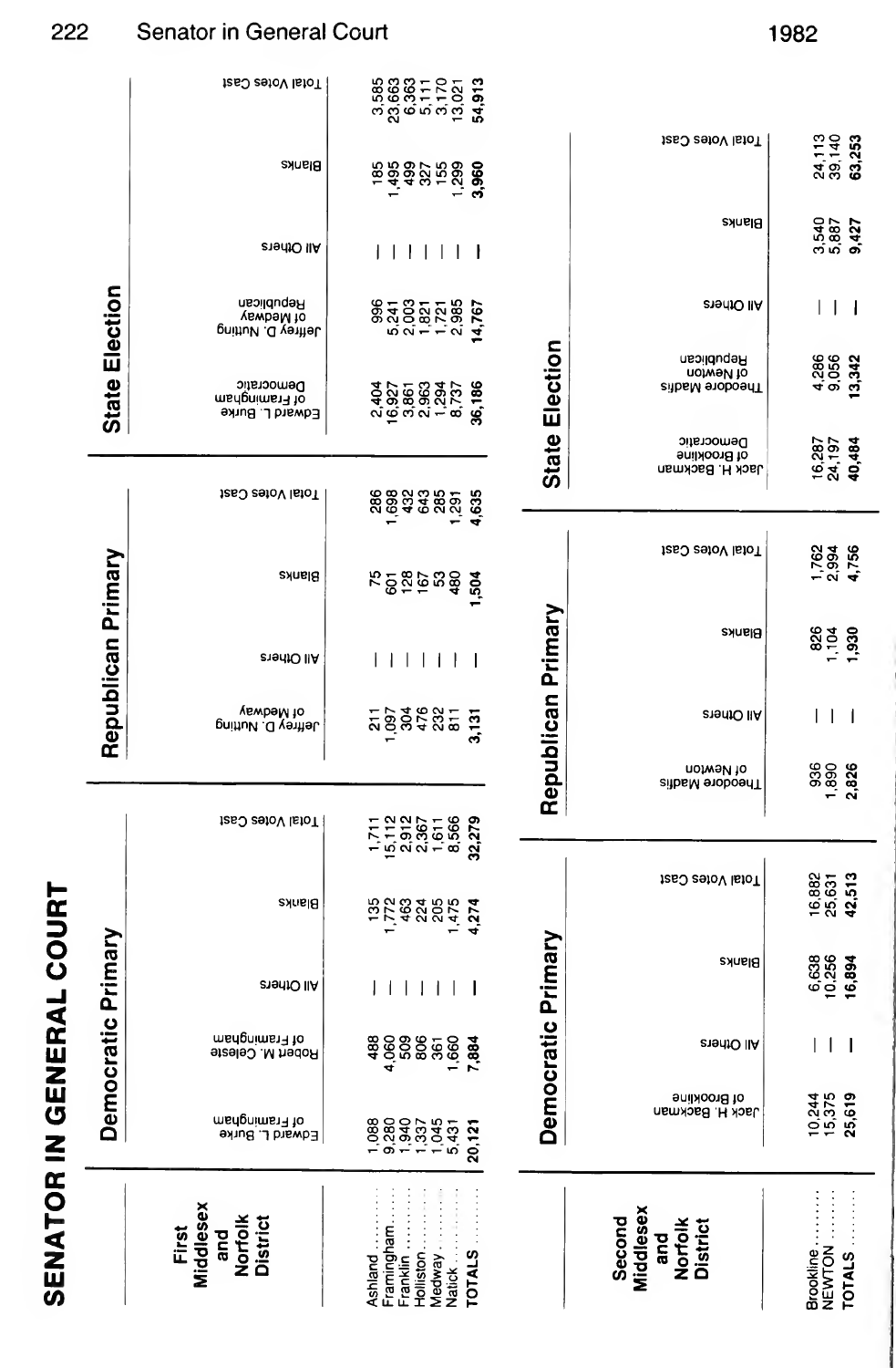| 222 | Senator in General Court |                                 |
|-----|--------------------------|---------------------------------|
|     | 1260 zetoV lstoT         | 66362125<br>66681126<br>8666101 |

SENATOR IN GENERAL COURT

|                    | <b>Blanks</b>                                                  | <b>8888588</b>                                                                                   |                                       | Total Votes Cast                              | 24,113<br>39,140<br>63,253               |
|--------------------|----------------------------------------------------------------|--------------------------------------------------------------------------------------------------|---------------------------------------|-----------------------------------------------|------------------------------------------|
|                    | All Others                                                     | п<br>1       <b> </b>                                                                            |                                       | Blanks                                        | 3,540<br>5,887<br>9,427                  |
|                    | Republican<br>Jewbelway<br>Jeffrey D. Nutting                  | ទីមីនី<br>សូមីមីដូនី សូមី<br>សូមី - មី សូមី                                                      |                                       | Pilo liners                                   | $\mathsf{L}$<br>$\overline{\phantom{a}}$ |
| State Election     | Democratic<br>of Framingham<br>Edward L. Burke                 | 3 ភ្នំ ភ្លូង ភ្លូង ភ្លូង<br>ភ្នំ ភ្លូង ភ្លូង ភ្លូង ភ្លូង<br>ភ្នំ ភ្លូង ភ្នំ ភ្លូង ភ្លូង          | State Election                        | Republican<br>pf Newton<br>Theodore Madfis    | $4,286$<br>$9,056$<br>$13,342$           |
|                    | Total Votes Cast                                               | ន្តនិងឧន្តរ្<br>1,635                                                                            |                                       | Democratic<br>of Brookline<br>ласк Н. Васктап | 16,287<br>24,197<br>40,484               |
|                    | <b>SAngle</b>                                                  | និឌទីនទឹ<br>504                                                                                  |                                       | Total Votes Cast                              | 1,762<br>2,994<br>4,756                  |
| Republican Primary | e19rt0 IIA                                                     | I<br>$\mathbf{I}$<br>$\mathbf{I}$<br>$\perp$<br>- 1                                              |                                       | <b>Bianks</b>                                 | 828                                      |
|                    | Jeffrey D. Nutting<br>Jeffrey D. Nutting                       | ភ្នំទីនឹងទី<br>ត្ត                                                                               | Republican Primary                    | Pill Others                                   | $\mathbf{I}$<br>1<br>$\mathsf{I}$        |
|                    | tes O estoV letoT                                              | $\begin{array}{c}\n 128 \\  1580 \\  267 \\  367 \\  568 \\  688\n \end{array}$<br>$\frac{1}{2}$ |                                       | of Newton<br>ziłbsM enoboerT                  | 936<br>1,890<br>2,826                    |
|                    | <b>Blanks</b>                                                  | <u>ងដ៏កំពង់ ដ</u>                                                                                |                                       | Total Votes Cast                              | 16,882<br>25,631<br><b>42,513</b>        |
| Democratic Primary | enentO IIA                                                     | $1 + 1$<br>ı<br>$\mathsf{l}$                                                                     | Democratic Primary                    | Blanks                                        | 6,638<br>10,256<br>16,894                |
|                    | of Framingham<br>Robert M. Celeste                             | $\begin{array}{c}\n 888888688 \\  1888868\n \end{array}$                                         |                                       | enertiO IIA                                   | I<br>I<br>ı                              |
|                    | of Framingham<br>Edward L. Burke                               | 20,121                                                                                           |                                       | of Brookline<br>Jack H. Backman               | 10,244<br>15,375<br>25,619               |
|                    | First<br>Middlesex<br><b>Norfolk</b><br><b>District</b><br>and | Framingham<br>Ashland<br>Franklin<br>Holliston<br>Medway.<br><b>TOTALS</b><br>Natick             | Middlesex<br>Second<br>and<br>Norfolk | <b>District</b>                               | Brookline<br>NEWTON<br><b>TOTALS</b>     |

1982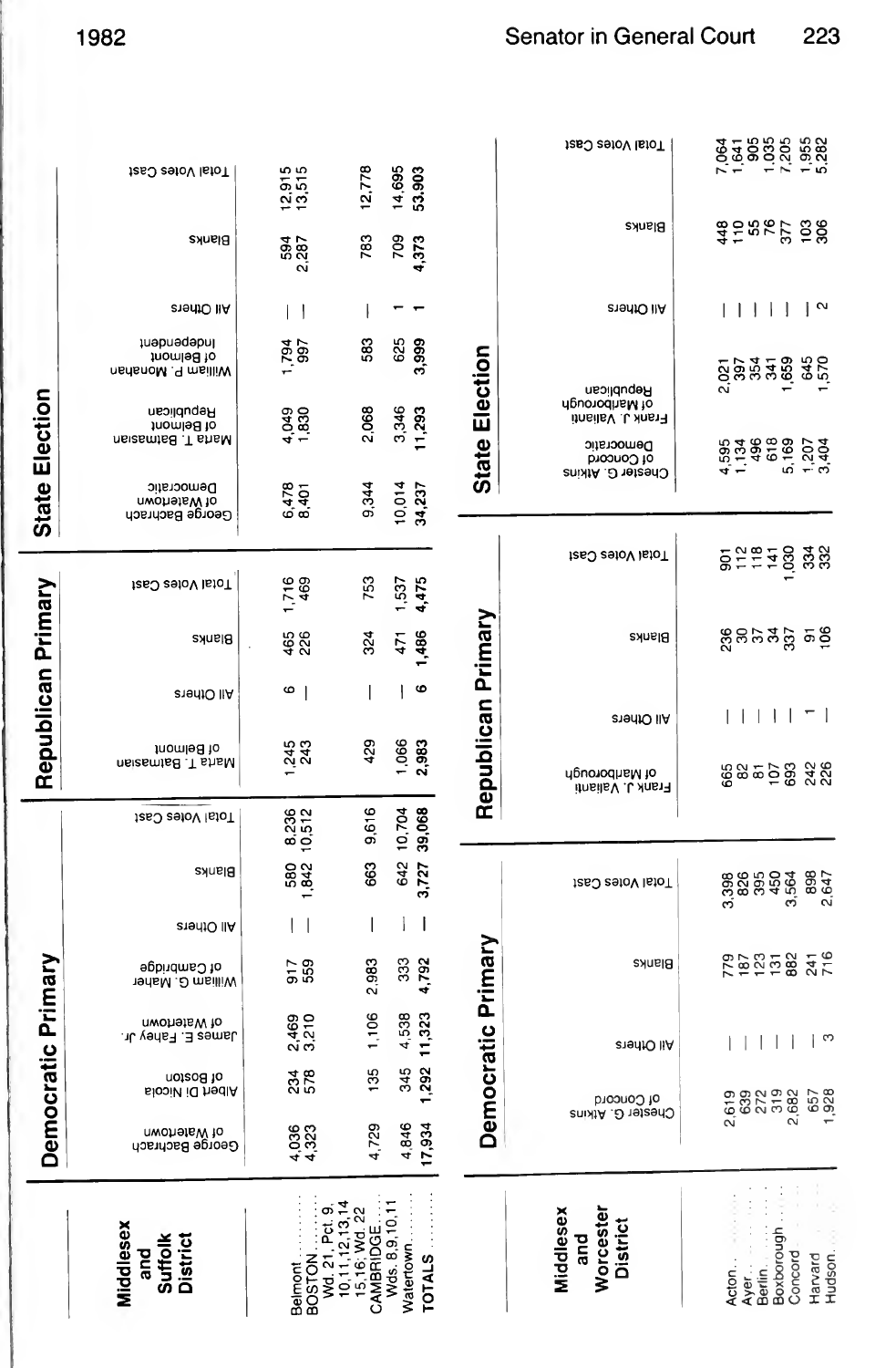|                                                                       |                                | Democratic Primary                  |                                    |                                  |              |                               |                  | Republican Primary                  |                          |                   |                   | <b>State Election</b>                         |                                                          |                                    |                           |                            |               |                               |  |
|-----------------------------------------------------------------------|--------------------------------|-------------------------------------|------------------------------------|----------------------------------|--------------|-------------------------------|------------------|-------------------------------------|--------------------------|-------------------|-------------------|-----------------------------------------------|----------------------------------------------------------|------------------------------------|---------------------------|----------------------------|---------------|-------------------------------|--|
| Middlesex<br><b>Suffolk</b><br><b>District</b><br>and<br>5            | nwoheleW to<br>George Bachrach | of Boston<br>Albert Di Nicola       | of Watertown<br>James E. Fahey Jr. | william G. Maher<br>9pbildmsJ to | Pill Others  | Blanks                        | Total Voles Cast | of Belmont<br>nsisemted. T shaM     | Pill Others              | Blanks            | Total Votes Cast  | Democratic<br>of Watertown<br>George Bachrach | of Belmont<br>nsisamise .T shaM                          | nsnsnoM. 9 msilliW<br>Republican   | Independent<br>of Belmont | Pil Others                 | Blanks        | Total Votes Cast              |  |
| <b>BOSTON</b><br><b>Belmont</b>                                       | 88                             | 338                                 | 2,469<br>3,210                     | $\frac{25}{359}$                 | $\mathsf{L}$ | 582<br>1.842                  | 8,236<br>10,512  | 245<br>243                          | $\circ$                  | 465<br>226        | $\frac{716}{469}$ | 6,478<br>8,401                                |                                                          | 4,830                              | 1,794<br>997              | $\perp$                    | 594<br>2,287  | $12,915$<br>$13,515$          |  |
| Wd. 21, Pct. 9,<br>10, 11, 12, 13, 14<br>15, 16, Wd. 22<br>CAMBRIDGE  | 4,729                          | 135                                 | 1,106                              | 2,983                            | $\mathsf{I}$ | 663                           | 9,616            | 429                                 | $\overline{\phantom{a}}$ | 324               | 753               | 9,344                                         |                                                          | 2,068                              | 583                       | J                          | 783           | 12,778                        |  |
| Wds. 8.9, 10, 11<br>Watertown<br><b>TOTALS</b>                        | 4,846<br>17,934                | 345<br>1,292                        | 4,538<br>11,323                    | 333<br>4,792                     |              | 642<br>3,727                  | 39,068<br>10,704 | ,066<br>2,983                       | $\bullet$<br>I           | ,486<br>471       | 4,475<br>1,537    | 10,014<br>34,237                              | 11,293                                                   | 3,346                              | 625<br>3,999              |                            | 709<br>4,373  | 14,695<br>53.903              |  |
|                                                                       |                                | Democratic Primary                  |                                    |                                  |              |                               |                  | Republican Primary                  |                          |                   |                   |                                               |                                                          | State Election                     |                           |                            |               |                               |  |
| Worcester<br>Middlesex<br>District<br>and                             | Chester G. Atkins              | of Concord                          | All Others                         | Blanks                           |              | Total Votes Cast              |                  | of Marlborough<br>Frank J. Valianti | All Others               | <b>Blanks</b>     | Total Votes Cast  |                                               | Democratic<br>of Concord<br>Chester G. Alkins            | Republican<br>frank J. Valianti    |                           | Pile Others                | <b>Blanks</b> | Total Votes Cast              |  |
| dporough<br>Concord<br>Harvard<br>dudson<br>Berlin.<br>Actorn<br>Ayer |                                | 019<br>03279<br>23282<br>657<br>928 | က<br>$\mathbf{I}$                  | <b>REBERER</b>                   |              | 338553<br>38555<br>898<br>647 |                  | gas 5 g 3 g                         | 1  1  1  1<br>‴ ∣        | ខ្លួន៦និង្គ ទន្ទិ | 음음들 등 왕왕          |                                               | $4.54888$<br>$6.74888$<br>$6.7488$<br>$6.744$<br>$6.744$ | ភ្លូង អូន ខ្លួន<br>ក្នុង អូន ខ្លួន |                           | $\vert \circ$<br>1 1 1 1 1 | atakë aa      | <b>358888888</b><br>258888888 |  |

J,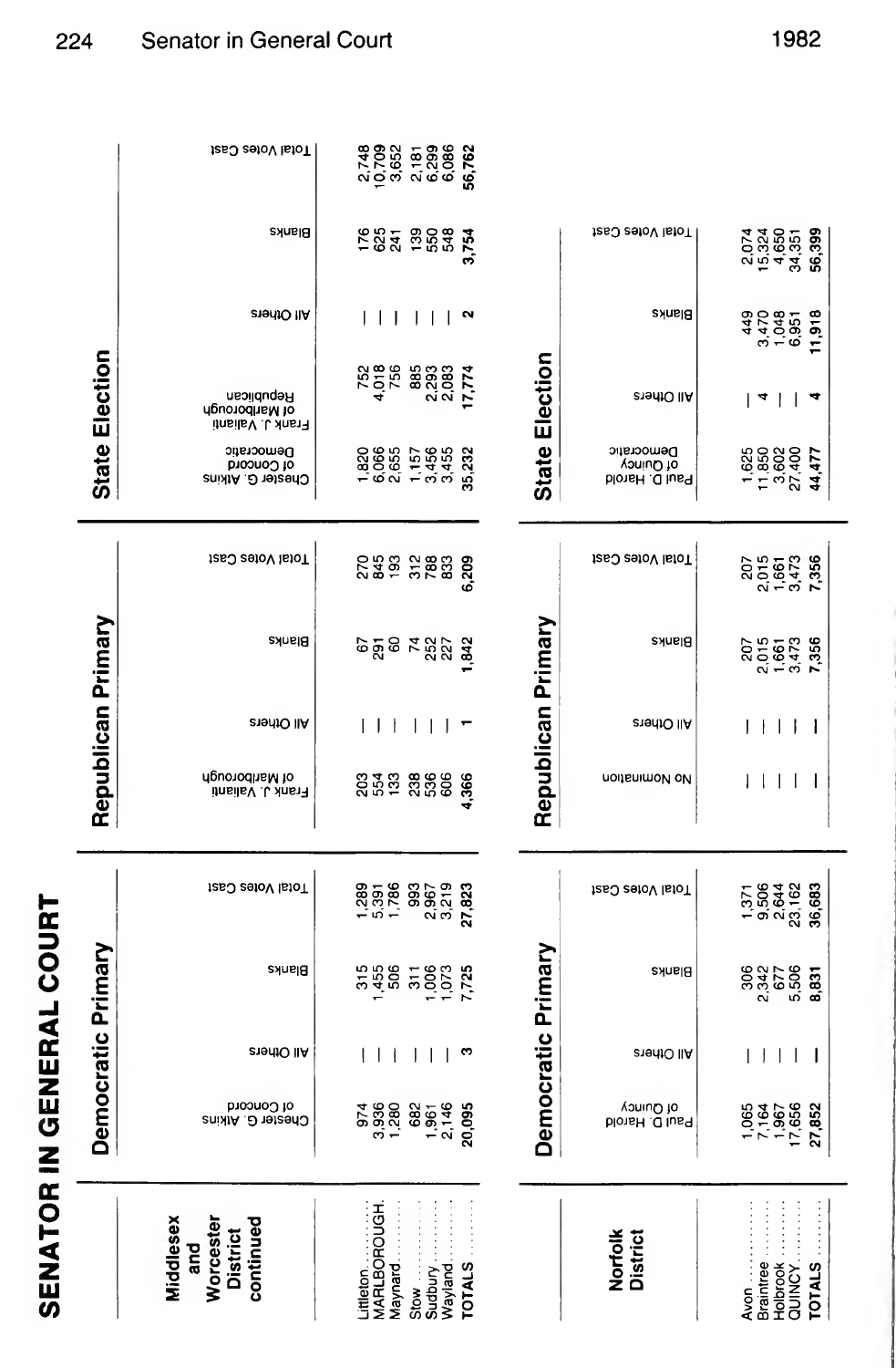| í                                                                                                                     |
|-----------------------------------------------------------------------------------------------------------------------|
|                                                                                                                       |
|                                                                                                                       |
|                                                                                                                       |
|                                                                                                                       |
|                                                                                                                       |
|                                                                                                                       |
| ۱                                                                                                                     |
|                                                                                                                       |
| <b>Contract Contract Contract Contract Contract Contract Contract Contract Contract Contract Contract Contract Co</b> |
|                                                                                                                       |
| i.<br>ı<br>I                                                                                                          |
|                                                                                                                       |
|                                                                                                                       |
|                                                                                                                       |
|                                                                                                                       |
|                                                                                                                       |
| ۱<br>l                                                                                                                |

 $\overline{a}$ 

|                                                                                      |                                                           |                                                                   | Democratic Primary                            |                                                   |                                               |                                                             | Republican Primary             |                              |                                                                             | State Election                                     |                                                    |                        |                                                  |
|--------------------------------------------------------------------------------------|-----------------------------------------------------------|-------------------------------------------------------------------|-----------------------------------------------|---------------------------------------------------|-----------------------------------------------|-------------------------------------------------------------|--------------------------------|------------------------------|-----------------------------------------------------------------------------|----------------------------------------------------|----------------------------------------------------|------------------------|--------------------------------------------------|
| Middlese)<br>and<br>Worcester<br>continued<br><b>District</b>                        | of Concord<br>Chester G. Atkins                           | All Others                                                        | Blanks                                        | Total Votes Cast                                  | of Marlborough<br>Frank J. Valianti           | All Others                                                  | <b>Bianks</b>                  | Total Votes Cast             | Democratic<br>Of Concord<br>Chester G. Alkins                               | inailsV J. Aaliani<br>of Marlborough<br>Republican | Pilomers                                           | <b>Blanks</b>          | Total Votes Cast                                 |
| Littleton<br>MARLBOROUGH<br>Maynard<br><b>TOTALS</b><br>$Stow$<br>Wayland<br>Sudbury | 974<br>3,936<br>1,280<br>$88,000$<br>$-2,000$<br>$-2,000$ | c<br>I<br>ı<br>ı<br>$\mathbf{I}$<br>$\overline{\phantom{a}}$<br>I | <b>222</b><br>2222 2323<br>2322 233           | 285 86 875 88<br>128 886 75 886<br>10 - 20 886 76 | <u>ន្តអូន ឌួនទី ន</u>                         | L<br>$\mathbf{I}$<br>ł<br>Ш<br>$\mathbf{I}$<br>$\mathbf{I}$ | <b>ិត្តូ</b> ខ ¤ ឌ្លូង្កូ ខ្លួ | 2#8 2#8<br>6,209             | 1<br>1986 1986<br>1986 1986 19                                              | 356 8888<br>407 88888<br>17,774                    | N<br>$\mathsf{L}$<br>111<br>$\mathbf{I}$           | <b>Ega Bea B</b>       | 2788<br>2788<br>2988<br>2.338<br>0.238<br>56.762 |
|                                                                                      |                                                           |                                                                   | Democratic Primary                            |                                                   |                                               |                                                             | Republican Primary             |                              |                                                                             | State Election                                     |                                                    |                        |                                                  |
| Norfolk<br>District                                                                  | Paul D. Harold<br>Paul D. Harold                          | eteritO IIA                                                       | <b>Blanks</b>                                 | Total Votes Cast                                  | nonsnimol/ ol/                                | Pitholics                                                   | <b>Blanks</b>                  | Total Votes Cast             | Paul D. Harold<br>of Quincy<br>Democratic                                   | Pull Others                                        | Blanks                                             | Total Votes Cast       |                                                  |
| Braintree<br>Holbrook<br><b>TOTALS</b><br>Avon                                       | $\frac{7,166}{7,160}$<br>7,164<br>17,656<br>27,852        | ł<br>ı<br>$\mathbf{I}$<br>$\mathbf{I}$                            | និង<br>ខែមី <b>ខូ ខូ</b><br>ខូ ភូមិ <b>ខូ</b> | 1.506<br>1.5064<br>1.606<br>1.608                 | $\perp$<br>I<br>$\overline{\phantom{a}}$<br>ł | $\perp$<br>ł<br>ı                                           | 2015<br>2016<br>2017<br>2018   | 2015<br>2016<br>2017<br>2018 | $\begin{array}{r} 1,625 \\ 11,850 \\ 3,602 \\ 27,400 \end{array}$<br>44,477 | 4<br>۰<br>$\mathbf{I}$<br>$\overline{\phantom{a}}$ | $47.85$<br>$7.785$<br>$7.785$<br>$-6.35$<br>11,918 | 23355<br>23555<br>2543 |                                                  |

Iza<br>Jesu votes Cast